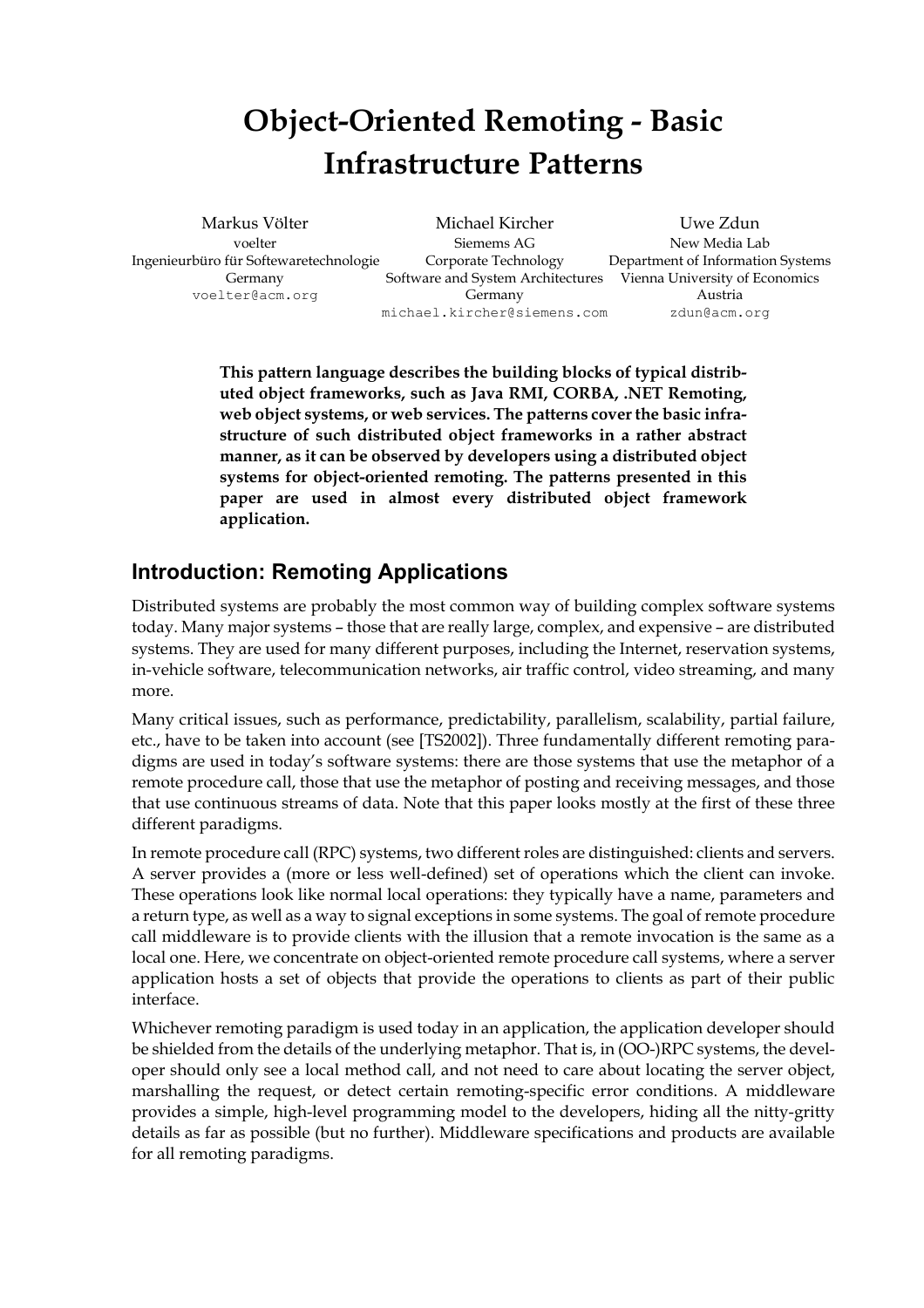# **Object-Oriented Remoting - Basic Infrastructure Patterns**

Ingenieurbüro für Softewaretechnologie Corporate Technology Department of Information Systems

Markus Völter Michael Kircher Uwe Zdun voelter Siemems AG New Media Lab Germany Software and System Architectures Vienna University of Economics voelter@acm.org Germany Germany Austria michael.kircher@siemens.com zdun@acm.org

**This pattern language describes the building blocks of typical distributed object frameworks, such as Java RMI, CORBA, .NET Remoting, web object systems, or web services. The patterns cover the basic infrastructure of such distributed object frameworks in a rather abstract manner, as it can be observed by developers using a distributed object systems for object-oriented remoting. The patterns presented in this paper are used in almost every distributed object framework application.**

#### **Introduction: Remoting Applications**

Distributed systems are probably the most common way of building complex software systems today. Many major systems – those that are really large, complex, and expensive – are distributed systems. They are used for many different purposes, including the Internet, reservation systems, in-vehicle software, telecommunication networks, air traffic control, video streaming, and many more.

Many critical issues, such as performance, predictability, parallelism, scalability, partial failure, etc., have to be taken into account (see [TS2002]). Three fundamentally different remoting paradigms are used in today's software systems: there are those systems that use the metaphor of a remote procedure call, those that use the metaphor of posting and receiving messages, and those that use continuous streams of data. Note that this paper looks mostly at the first of these three different paradigms.

In remote procedure call (RPC) systems, two different roles are distinguished: clients and servers. A server provides a (more or less well-defined) set of operations which the client can invoke. These operations look like normal local operations: they typically have a name, parameters and a return type, as well as a way to signal exceptions in some systems. The goal of remote procedure call middleware is to provide clients with the illusion that a remote invocation is the same as a local one. Here, we concentrate on object-oriented remote procedure call systems, where a server application hosts a set of objects that provide the operations to clients as part of their public interface.

Whichever remoting paradigm is used today in an application, the application developer should be shielded from the details of the underlying metaphor. That is, in (OO-)RPC systems, the developer should only see a local method call, and not need to care about locating the server object, marshalling the request, or detect certain remoting-specific error conditions. A middleware provides a simple, high-level programming model to the developers, hiding all the nitty-gritty details as far as possible (but no further). Middleware specifications and products are available for all remoting paradigms.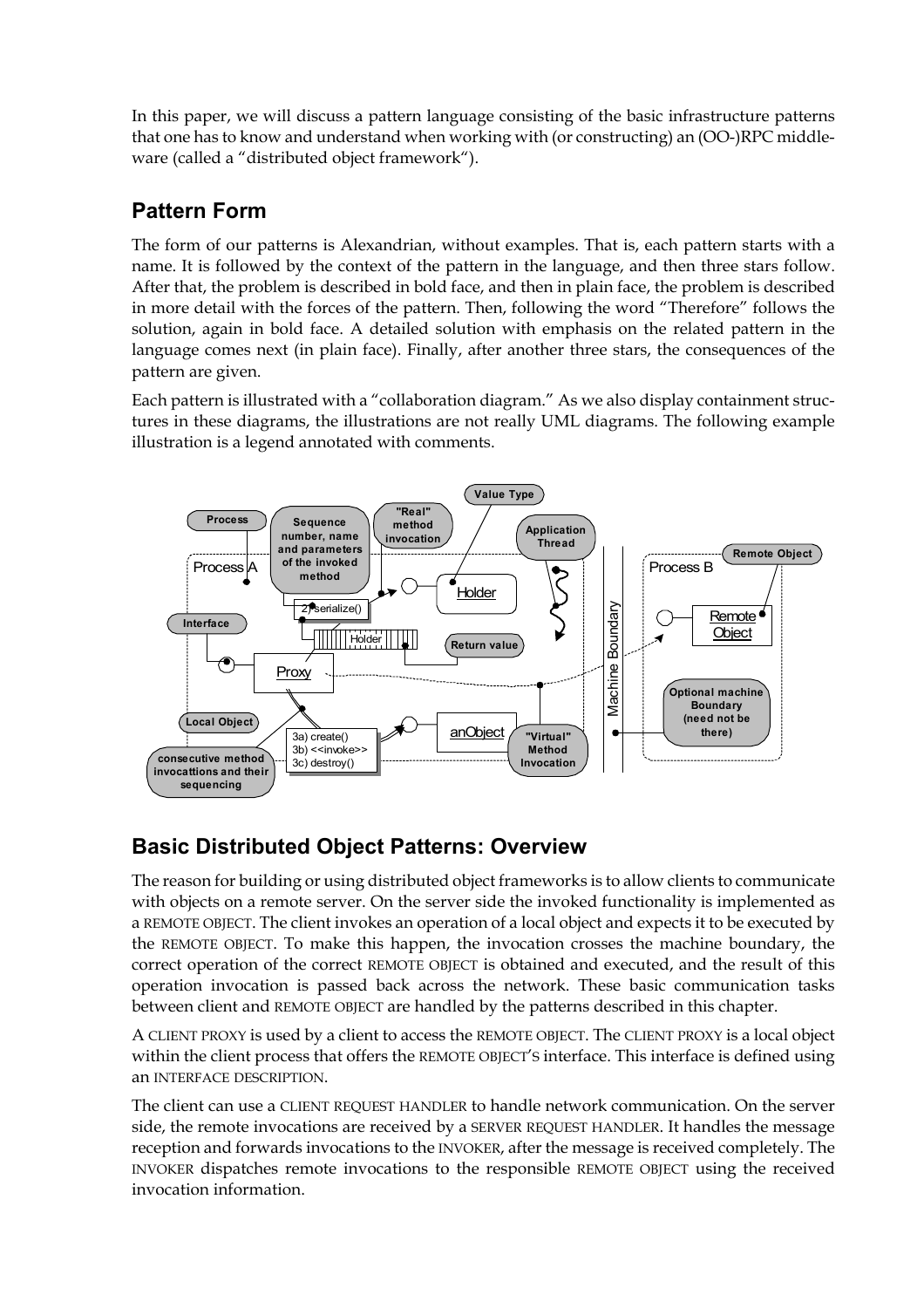In this paper, we will discuss a pattern language consisting of the basic infrastructure patterns that one has to know and understand when working with (or constructing) an (OO-)RPC middleware (called a "distributed object framework").

# **Pattern Form**

The form of our patterns is Alexandrian, without examples. That is, each pattern starts with a name. It is followed by the context of the pattern in the language, and then three stars follow. After that, the problem is described in bold face, and then in plain face, the problem is described in more detail with the forces of the pattern. Then, following the word "Therefore" follows the solution, again in bold face. A detailed solution with emphasis on the related pattern in the language comes next (in plain face). Finally, after another three stars, the consequences of the pattern are given.

Each pattern is illustrated with a "collaboration diagram." As we also display containment structures in these diagrams, the illustrations are not really UML diagrams. The following example illustration is a legend annotated with comments.



### **Basic Distributed Object Patterns: Overview**

The reason for building or using distributed object frameworks is to allow clients to communicate with objects on a remote server. On the server side the invoked functionality is implemented as a REMOTE OBJECT. The client invokes an operation of a local object and expects it to be executed by the REMOTE OBJECT. To make this happen, the invocation crosses the machine boundary, the correct operation of the correct REMOTE OBJECT is obtained and executed, and the result of this operation invocation is passed back across the network. These basic communication tasks between client and REMOTE OBJECT are handled by the patterns described in this chapter.

A CLIENT PROXY is used by a client to access the REMOTE OBJECT. The CLIENT PROXY is a local object within the client process that offers the REMOTE OBJECT'S interface. This interface is defined using an INTERFACE DESCRIPTION.

The client can use a CLIENT REQUEST HANDLER to handle network communication. On the server side, the remote invocations are received by a SERVER REQUEST HANDLER. It handles the message reception and forwards invocations to the INVOKER, after the message is received completely. The INVOKER dispatches remote invocations to the responsible REMOTE OBJECT using the received invocation information.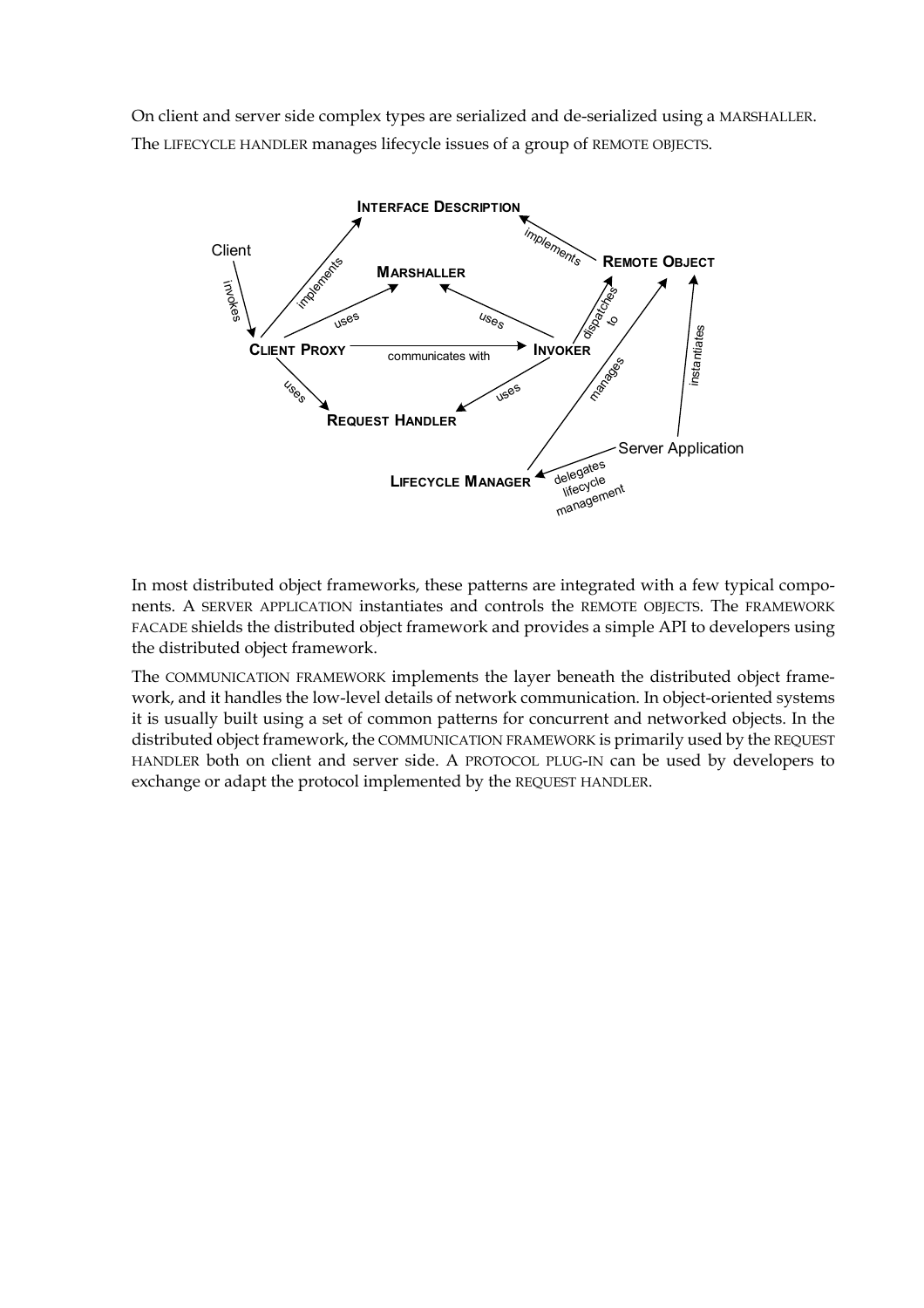On client and server side complex types are serialized and de-serialized using a MARSHALLER. The LIFECYCLE HANDLER manages lifecycle issues of a group of REMOTE OBJECTS.



In most distributed object frameworks, these patterns are integrated with a few typical components. A SERVER APPLICATION instantiates and controls the REMOTE OBJECTS. The FRAMEWORK FACADE shields the distributed object framework and provides a simple API to developers using the distributed object framework.

The COMMUNICATION FRAMEWORK implements the layer beneath the distributed object framework, and it handles the low-level details of network communication. In object-oriented systems it is usually built using a set of common patterns for concurrent and networked objects. In the distributed object framework, the COMMUNICATION FRAMEWORK is primarily used by the REQUEST HANDLER both on client and server side. A PROTOCOL PLUG-IN can be used by developers to exchange or adapt the protocol implemented by the REQUEST HANDLER.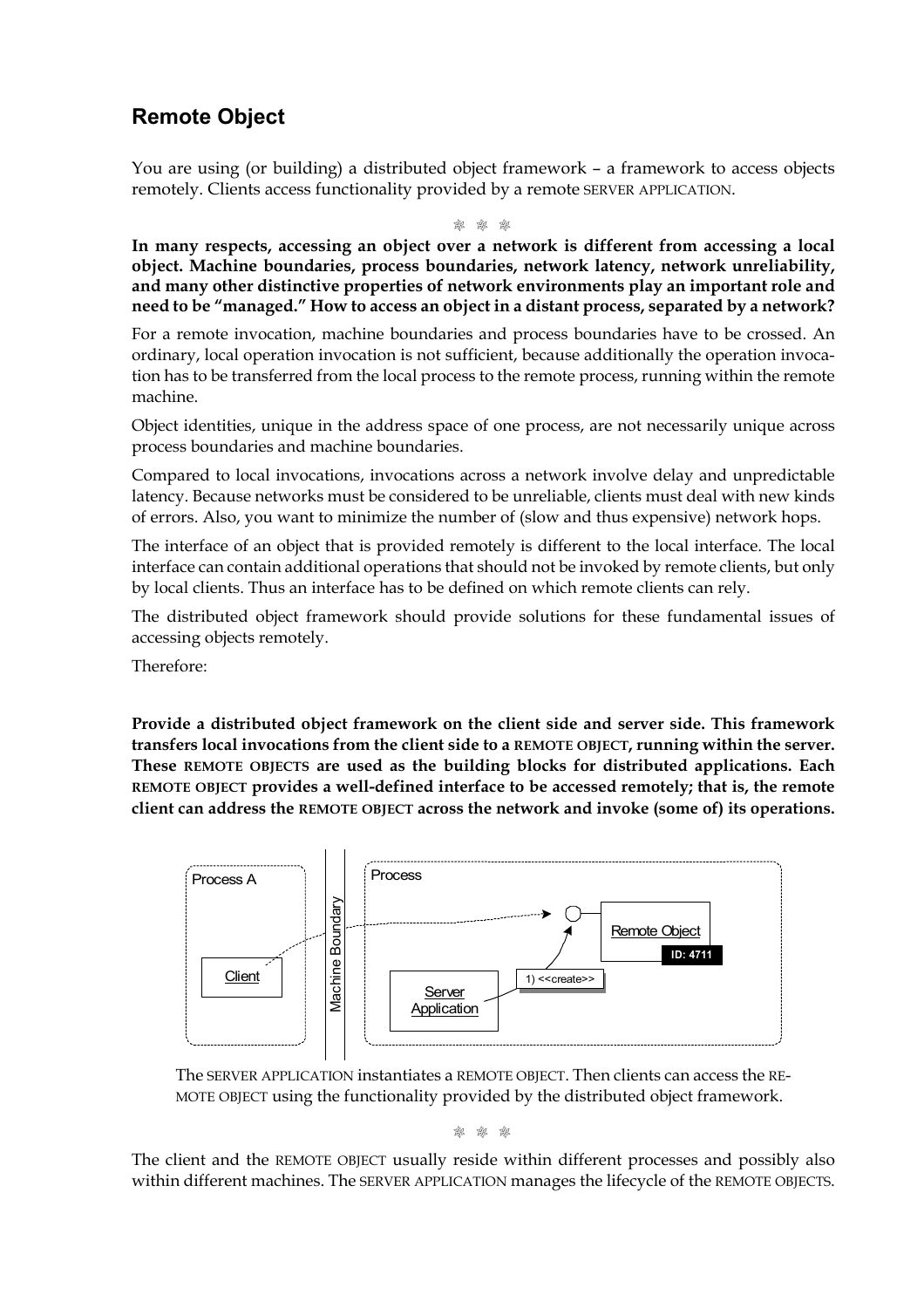### **Remote Object**

You are using (or building) a distributed object framework – a framework to access objects remotely. Clients access functionality provided by a remote SERVER APPLICATION.

M M M

**In many respects, accessing an object over a network is different from accessing a local object. Machine boundaries, process boundaries, network latency, network unreliability, and many other distinctive properties of network environments play an important role and need to be "managed." How to access an object in a distant process, separated by a network?**

For a remote invocation, machine boundaries and process boundaries have to be crossed. An ordinary, local operation invocation is not sufficient, because additionally the operation invocation has to be transferred from the local process to the remote process, running within the remote machine.

Object identities, unique in the address space of one process, are not necessarily unique across process boundaries and machine boundaries.

Compared to local invocations, invocations across a network involve delay and unpredictable latency. Because networks must be considered to be unreliable, clients must deal with new kinds of errors. Also, you want to minimize the number of (slow and thus expensive) network hops.

The interface of an object that is provided remotely is different to the local interface. The local interface can contain additional operations that should not be invoked by remote clients, but only by local clients. Thus an interface has to be defined on which remote clients can rely.

The distributed object framework should provide solutions for these fundamental issues of accessing objects remotely.

Therefore:

**Provide a distributed object framework on the client side and server side. This framework transfers local invocations from the client side to a REMOTE OBJECT, running within the server. These REMOTE OBJECTS are used as the building blocks for distributed applications. Each REMOTE OBJECT provides a well-defined interface to be accessed remotely; that is, the remote client can address the REMOTE OBJECT across the network and invoke (some of) its operations.**



The SERVER APPLICATION instantiates a REMOTE OBJECT. Then clients can access the RE-MOTE OBJECT using the functionality provided by the distributed object framework.

M M M

The client and the REMOTE OBJECT usually reside within different processes and possibly also within different machines. The SERVER APPLICATION manages the lifecycle of the REMOTE OBJECTS.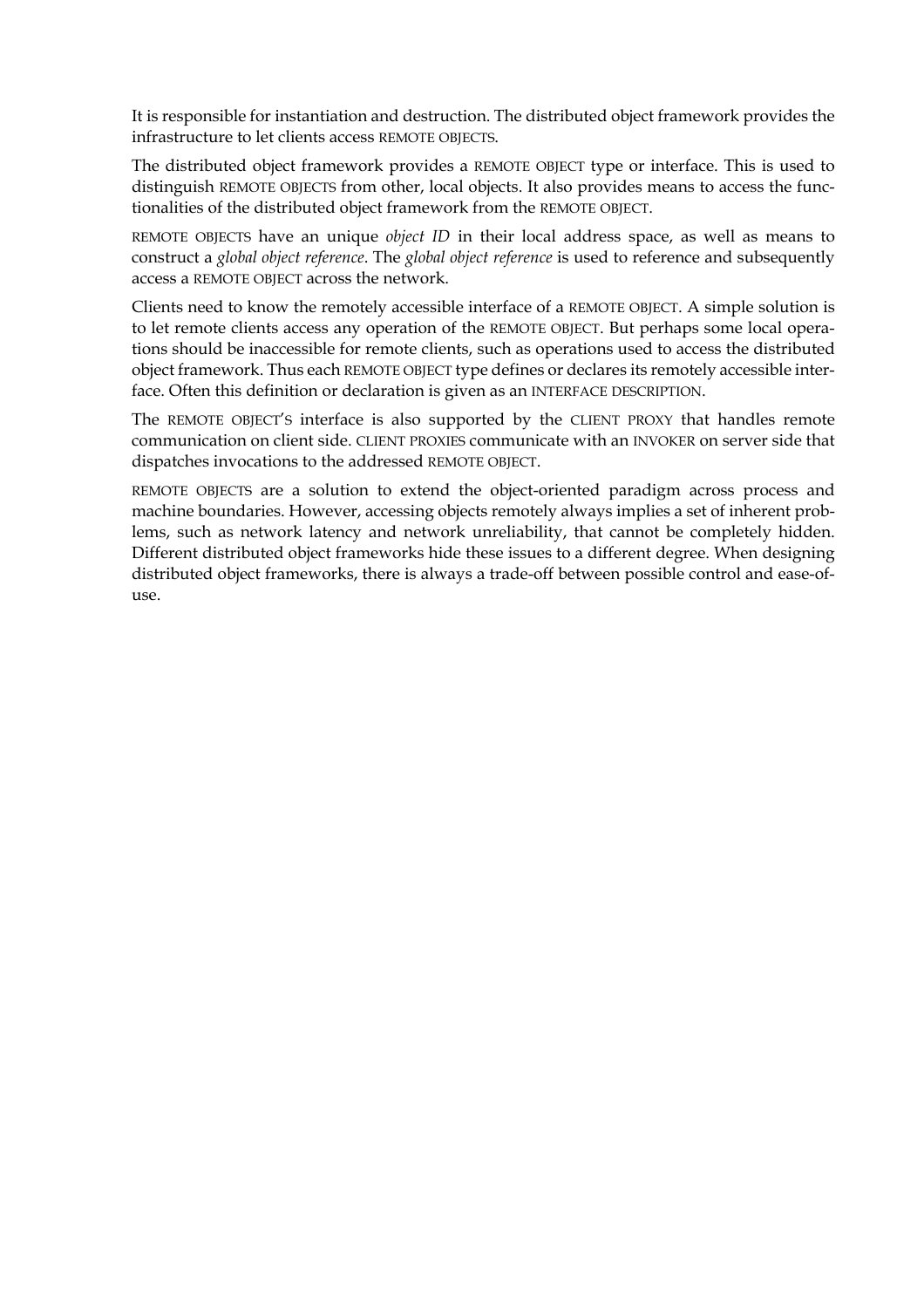It is responsible for instantiation and destruction. The distributed object framework provides the infrastructure to let clients access REMOTE OBJECTS.

The distributed object framework provides a REMOTE OBJECT type or interface. This is used to distinguish REMOTE OBJECTS from other, local objects. It also provides means to access the functionalities of the distributed object framework from the REMOTE OBJECT.

REMOTE OBJECTS have an unique *object ID* in their local address space, as well as means to construct a *global object reference*. The *global object reference* is used to reference and subsequently access a REMOTE OBJECT across the network.

Clients need to know the remotely accessible interface of a REMOTE OBJECT. A simple solution is to let remote clients access any operation of the REMOTE OBJECT. But perhaps some local operations should be inaccessible for remote clients, such as operations used to access the distributed object framework. Thus each REMOTE OBJECT type defines or declares its remotely accessible interface. Often this definition or declaration is given as an INTERFACE DESCRIPTION.

The REMOTE OBJECT'S interface is also supported by the CLIENT PROXY that handles remote communication on client side. CLIENT PROXIES communicate with an INVOKER on server side that dispatches invocations to the addressed REMOTE OBJECT.

REMOTE OBJECTS are a solution to extend the object-oriented paradigm across process and machine boundaries. However, accessing objects remotely always implies a set of inherent problems, such as network latency and network unreliability, that cannot be completely hidden. Different distributed object frameworks hide these issues to a different degree. When designing distributed object frameworks, there is always a trade-off between possible control and ease-ofuse.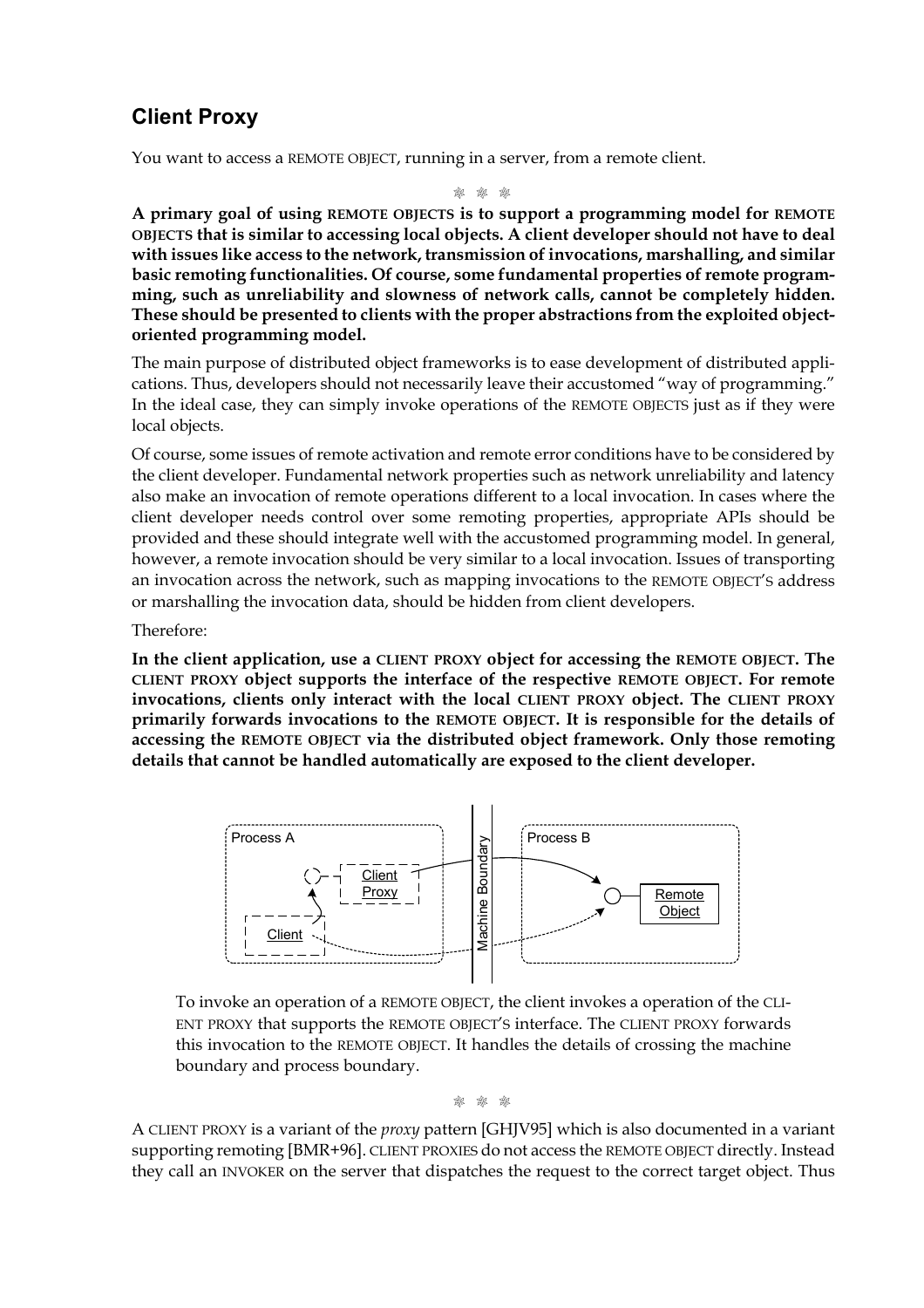## **Client Proxy**

You want to access a REMOTE OBJECT, running in a server, from a remote client.

M M M

**A primary goal of using REMOTE OBJECTS is to support a programming model for REMOTE OBJECTS that is similar to accessing local objects. A client developer should not have to deal with issues like access to the network, transmission of invocations, marshalling, and similar basic remoting functionalities. Of course, some fundamental properties of remote programming, such as unreliability and slowness of network calls, cannot be completely hidden. These should be presented to clients with the proper abstractions from the exploited objectoriented programming model.**

The main purpose of distributed object frameworks is to ease development of distributed applications. Thus, developers should not necessarily leave their accustomed "way of programming." In the ideal case, they can simply invoke operations of the REMOTE OBJECTS just as if they were local objects.

Of course, some issues of remote activation and remote error conditions have to be considered by the client developer. Fundamental network properties such as network unreliability and latency also make an invocation of remote operations different to a local invocation. In cases where the client developer needs control over some remoting properties, appropriate APIs should be provided and these should integrate well with the accustomed programming model. In general, however, a remote invocation should be very similar to a local invocation. Issues of transporting an invocation across the network, such as mapping invocations to the REMOTE OBJECT'S address or marshalling the invocation data, should be hidden from client developers.

Therefore:

**In the client application, use a CLIENT PROXY object for accessing the REMOTE OBJECT. The CLIENT PROXY object supports the interface of the respective REMOTE OBJECT. For remote invocations, clients only interact with the local CLIENT PROXY object. The CLIENT PROXY primarily forwards invocations to the REMOTE OBJECT. It is responsible for the details of accessing the REMOTE OBJECT via the distributed object framework. Only those remoting details that cannot be handled automatically are exposed to the client developer.**



To invoke an operation of a REMOTE OBJECT, the client invokes a operation of the CLI-ENT PROXY that supports the REMOTE OBJECT'S interface. The CLIENT PROXY forwards this invocation to the REMOTE OBJECT. It handles the details of crossing the machine boundary and process boundary.

M M M

A CLIENT PROXY is a variant of the *proxy* pattern [GHJV95] which is also documented in a variant supporting remoting [BMR+96]. CLIENT PROXIES do not access the REMOTE OBJECT directly. Instead they call an INVOKER on the server that dispatches the request to the correct target object. Thus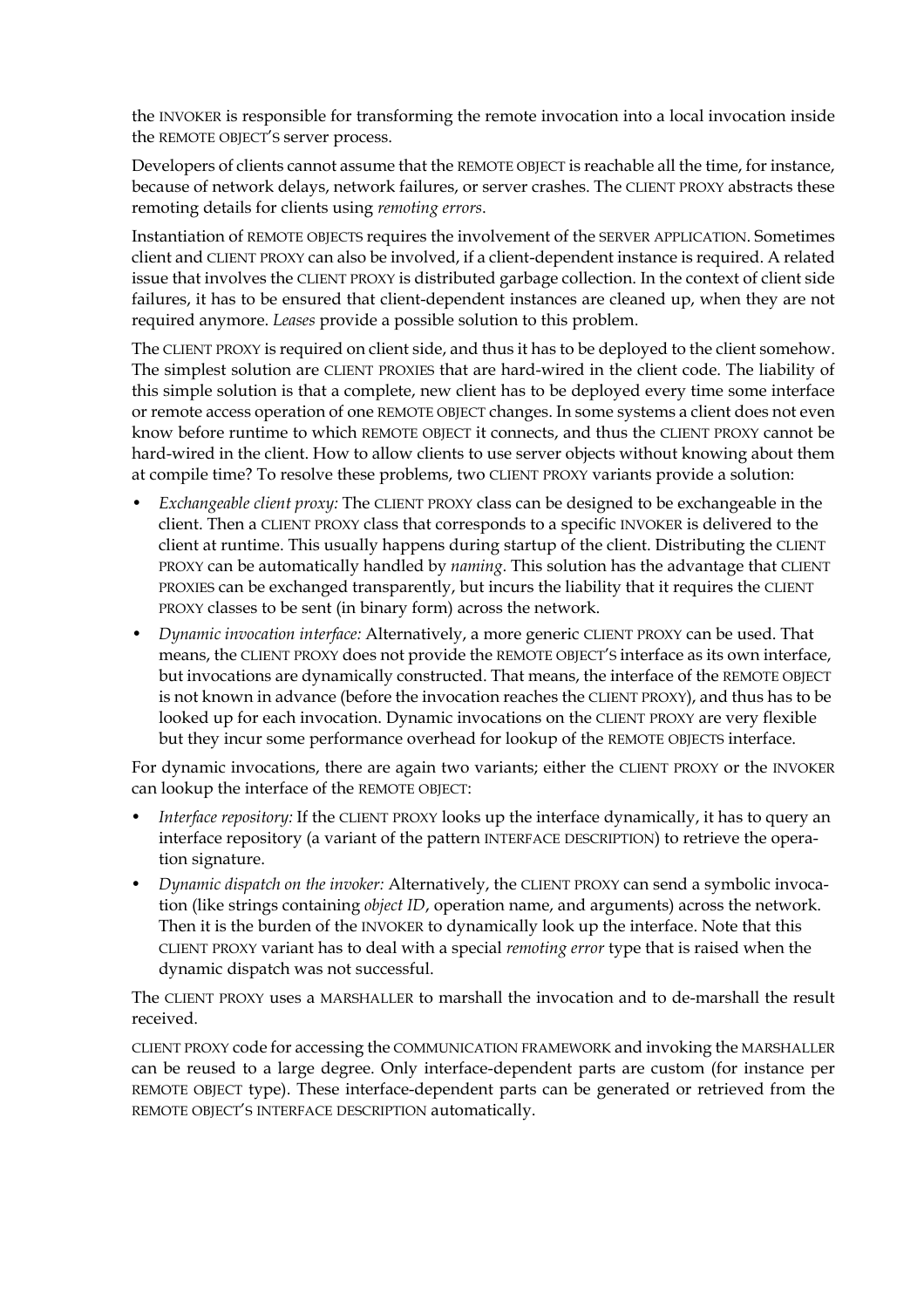the INVOKER is responsible for transforming the remote invocation into a local invocation inside the REMOTE OBJECT'S server process.

Developers of clients cannot assume that the REMOTE OBJECT is reachable all the time, for instance, because of network delays, network failures, or server crashes. The CLIENT PROXY abstracts these remoting details for clients using *remoting errors*.

Instantiation of REMOTE OBJECTS requires the involvement of the SERVER APPLICATION. Sometimes client and CLIENT PROXY can also be involved, if a client-dependent instance is required. A related issue that involves the CLIENT PROXY is distributed garbage collection. In the context of client side failures, it has to be ensured that client-dependent instances are cleaned up, when they are not required anymore. *Leases* provide a possible solution to this problem.

The CLIENT PROXY is required on client side, and thus it has to be deployed to the client somehow. The simplest solution are CLIENT PROXIES that are hard-wired in the client code. The liability of this simple solution is that a complete, new client has to be deployed every time some interface or remote access operation of one REMOTE OBJECT changes. In some systems a client does not even know before runtime to which REMOTE OBJECT it connects, and thus the CLIENT PROXY cannot be hard-wired in the client. How to allow clients to use server objects without knowing about them at compile time? To resolve these problems, two CLIENT PROXY variants provide a solution:

- *Exchangeable client proxy:* The CLIENT PROXY class can be designed to be exchangeable in the client. Then a CLIENT PROXY class that corresponds to a specific INVOKER is delivered to the client at runtime. This usually happens during startup of the client. Distributing the CLIENT PROXY can be automatically handled by *naming*. This solution has the advantage that CLIENT PROXIES can be exchanged transparently, but incurs the liability that it requires the CLIENT PROXY classes to be sent (in binary form) across the network.
- *Dynamic invocation interface:* Alternatively, a more generic CLIENT PROXY can be used. That means, the CLIENT PROXY does not provide the REMOTE OBJECT'S interface as its own interface, but invocations are dynamically constructed. That means, the interface of the REMOTE OBJECT is not known in advance (before the invocation reaches the CLIENT PROXY), and thus has to be looked up for each invocation. Dynamic invocations on the CLIENT PROXY are very flexible but they incur some performance overhead for lookup of the REMOTE OBJECTS interface.

For dynamic invocations, there are again two variants; either the CLIENT PROXY or the INVOKER can lookup the interface of the REMOTE OBJECT:

- *Interface repository:* If the CLIENT PROXY looks up the interface dynamically, it has to query an interface repository (a variant of the pattern INTERFACE DESCRIPTION) to retrieve the operation signature.
- *Dynamic dispatch on the invoker:* Alternatively, the CLIENT PROXY can send a symbolic invocation (like strings containing *object ID*, operation name, and arguments) across the network. Then it is the burden of the INVOKER to dynamically look up the interface. Note that this CLIENT PROXY variant has to deal with a special *remoting error* type that is raised when the dynamic dispatch was not successful.

The CLIENT PROXY uses a MARSHALLER to marshall the invocation and to de-marshall the result received.

CLIENT PROXY code for accessing the COMMUNICATION FRAMEWORK and invoking the MARSHALLER can be reused to a large degree. Only interface-dependent parts are custom (for instance per REMOTE OBJECT type). These interface-dependent parts can be generated or retrieved from the REMOTE OBJECT'S INTERFACE DESCRIPTION automatically.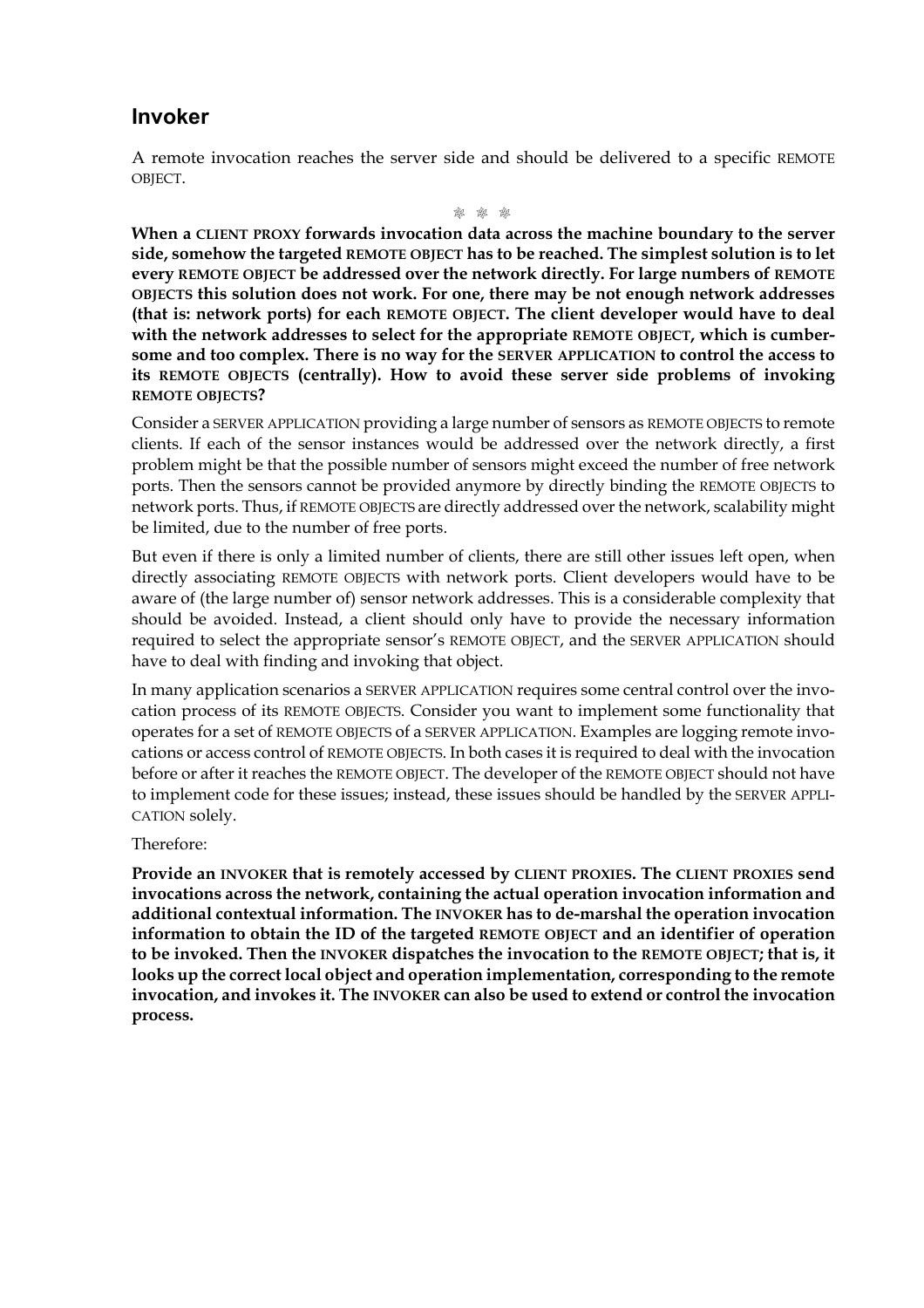#### **Invoker**

A remote invocation reaches the server side and should be delivered to a specific REMOTE OBJECT.

M M M

**When a CLIENT PROXY forwards invocation data across the machine boundary to the server side, somehow the targeted REMOTE OBJECT has to be reached. The simplest solution is to let every REMOTE OBJECT be addressed over the network directly. For large numbers of REMOTE OBJECTS this solution does not work. For one, there may be not enough network addresses (that is: network ports) for each REMOTE OBJECT. The client developer would have to deal with the network addresses to select for the appropriate REMOTE OBJECT, which is cumbersome and too complex. There is no way for the SERVER APPLICATION to control the access to its REMOTE OBJECTS (centrally). How to avoid these server side problems of invoking REMOTE OBJECTS?**

Consider a SERVER APPLICATION providing a large number of sensors as REMOTE OBJECTS to remote clients. If each of the sensor instances would be addressed over the network directly, a first problem might be that the possible number of sensors might exceed the number of free network ports. Then the sensors cannot be provided anymore by directly binding the REMOTE OBJECTS to network ports. Thus, if REMOTE OBJECTS are directly addressed over the network, scalability might be limited, due to the number of free ports.

But even if there is only a limited number of clients, there are still other issues left open, when directly associating REMOTE OBJECTS with network ports. Client developers would have to be aware of (the large number of) sensor network addresses. This is a considerable complexity that should be avoided. Instead, a client should only have to provide the necessary information required to select the appropriate sensor's REMOTE OBJECT, and the SERVER APPLICATION should have to deal with finding and invoking that object.

In many application scenarios a SERVER APPLICATION requires some central control over the invocation process of its REMOTE OBJECTS. Consider you want to implement some functionality that operates for a set of REMOTE OBJECTS of a SERVER APPLICATION. Examples are logging remote invocations or access control of REMOTE OBJECTS. In both cases it is required to deal with the invocation before or after it reaches the REMOTE OBJECT. The developer of the REMOTE OBJECT should not have to implement code for these issues; instead, these issues should be handled by the SERVER APPLI-CATION solely.

#### Therefore:

**Provide an INVOKER that is remotely accessed by CLIENT PROXIES. The CLIENT PROXIES send invocations across the network, containing the actual operation invocation information and additional contextual information. The INVOKER has to de-marshal the operation invocation information to obtain the ID of the targeted REMOTE OBJECT and an identifier of operation to be invoked. Then the INVOKER dispatches the invocation to the REMOTE OBJECT; that is, it looks up the correct local object and operation implementation, corresponding to the remote invocation, and invokes it. The INVOKER can also be used to extend or control the invocation process.**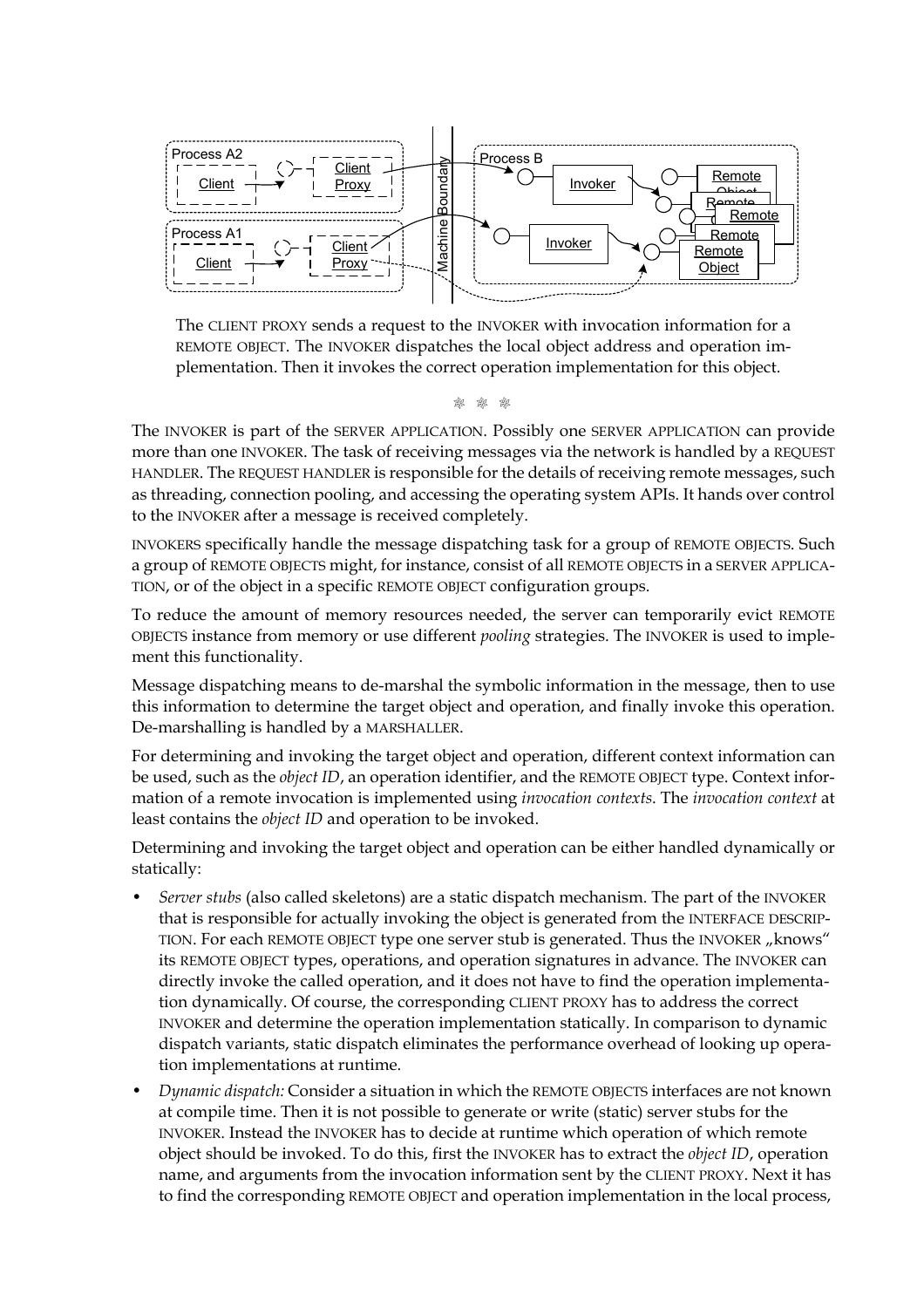

The CLIENT PROXY sends a request to the INVOKER with invocation information for a REMOTE OBJECT. The INVOKER dispatches the local object address and operation implementation. Then it invokes the correct operation implementation for this object.

 $\frac{d^2y}{dx^2}$ 

The INVOKER is part of the SERVER APPLICATION. Possibly one SERVER APPLICATION can provide more than one INVOKER. The task of receiving messages via the network is handled by a REQUEST HANDLER. The REQUEST HANDLER is responsible for the details of receiving remote messages, such as threading, connection pooling, and accessing the operating system APIs. It hands over control to the INVOKER after a message is received completely.

INVOKERS specifically handle the message dispatching task for a group of REMOTE OBJECTS. Such a group of REMOTE OBJECTS might, for instance, consist of all REMOTE OBJECTS in a SERVER APPLICA-TION, or of the object in a specific REMOTE OBJECT configuration groups.

To reduce the amount of memory resources needed, the server can temporarily evict REMOTE OBJECTS instance from memory or use different *pooling* strategies. The INVOKER is used to implement this functionality.

Message dispatching means to de-marshal the symbolic information in the message, then to use this information to determine the target object and operation, and finally invoke this operation. De-marshalling is handled by a MARSHALLER.

For determining and invoking the target object and operation, different context information can be used, such as the *object ID*, an operation identifier, and the REMOTE OBJECT type. Context information of a remote invocation is implemented using *invocation contexts*. The *invocation context* at least contains the *object ID* and operation to be invoked.

Determining and invoking the target object and operation can be either handled dynamically or statically:

- *Server stubs* (also called skeletons) are a static dispatch mechanism. The part of the INVOKER that is responsible for actually invoking the object is generated from the INTERFACE DESCRIP-TION. For each REMOTE OBJECT type one server stub is generated. Thus the INVOKER "knows" its REMOTE OBJECT types, operations, and operation signatures in advance. The INVOKER can directly invoke the called operation, and it does not have to find the operation implementation dynamically. Of course, the corresponding CLIENT PROXY has to address the correct INVOKER and determine the operation implementation statically. In comparison to dynamic dispatch variants, static dispatch eliminates the performance overhead of looking up operation implementations at runtime. The correct of the correct correct of the correct and operation in the correct and operation in the correct and operation in the correct and operation in the correct and operation in the correct and operation in the corre
- *Dynamic dispatch:* Consider a situation in which the REMOTE OBJECTS interfaces are not known at compile time. Then it is not possible to generate or write (static) server stubs for the INVOKER. Instead the INVOKER has to decide at runtime which operation of which remote object should be invoked. To do this, first the INVOKER has to extract the *object ID*, operation name, and arguments from the invocation information sent by the CLIENT PROXY. Next it has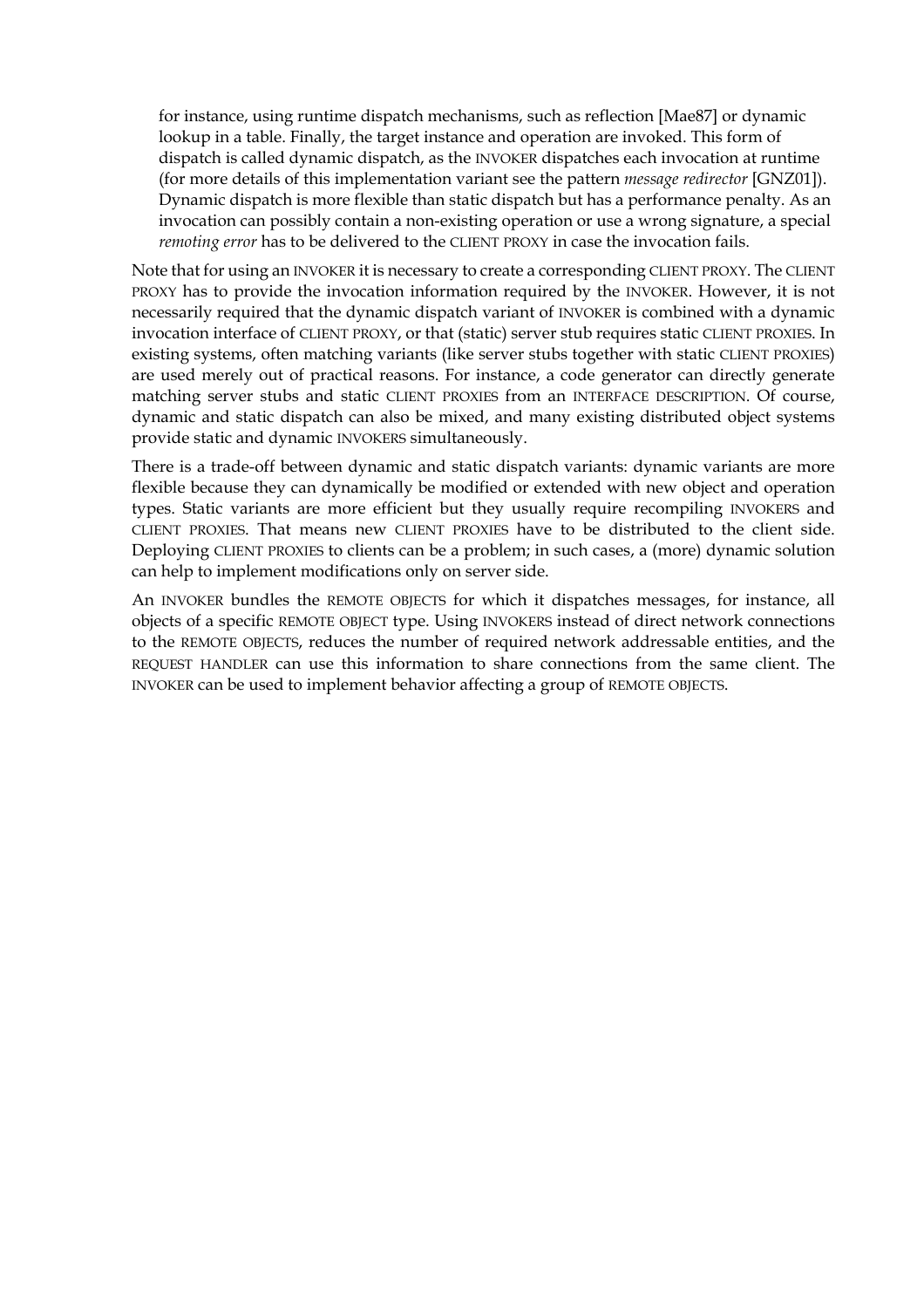for instance, using runtime dispatch mechanisms, such as reflection [Mae87] or dynamic lookup in a table. Finally, the target instance and operation are invoked. This form of dispatch is called dynamic dispatch, as the INVOKER dispatches each invocation at runtime (for more details of this implementation variant see the pattern *message redirector* [GNZ01]). Dynamic dispatch is more flexible than static dispatch but has a performance penalty. As an invocation can possibly contain a non-existing operation or use a wrong signature, a special *remoting error* has to be delivered to the CLIENT PROXY in case the invocation fails.

Note that for using an INVOKER it is necessary to create a corresponding CLIENT PROXY. The CLIENT PROXY has to provide the invocation information required by the INVOKER. However, it is not necessarily required that the dynamic dispatch variant of INVOKER is combined with a dynamic invocation interface of CLIENT PROXY, or that (static) server stub requires static CLIENT PROXIES. In existing systems, often matching variants (like server stubs together with static CLIENT PROXIES) are used merely out of practical reasons. For instance, a code generator can directly generate matching server stubs and static CLIENT PROXIES from an INTERFACE DESCRIPTION. Of course, dynamic and static dispatch can also be mixed, and many existing distributed object systems provide static and dynamic INVOKERS simultaneously.

There is a trade-off between dynamic and static dispatch variants: dynamic variants are more flexible because they can dynamically be modified or extended with new object and operation types. Static variants are more efficient but they usually require recompiling INVOKERS and CLIENT PROXIES. That means new CLIENT PROXIES have to be distributed to the client side. Deploying CLIENT PROXIES to clients can be a problem; in such cases, a (more) dynamic solution can help to implement modifications only on server side.

An INVOKER bundles the REMOTE OBJECTS for which it dispatches messages, for instance, all objects of a specific REMOTE OBJECT type. Using INVOKERS instead of direct network connections to the REMOTE OBJECTS, reduces the number of required network addressable entities, and the REQUEST HANDLER can use this information to share connections from the same client. The INVOKER can be used to implement behavior affecting a group of REMOTE OBJECTS.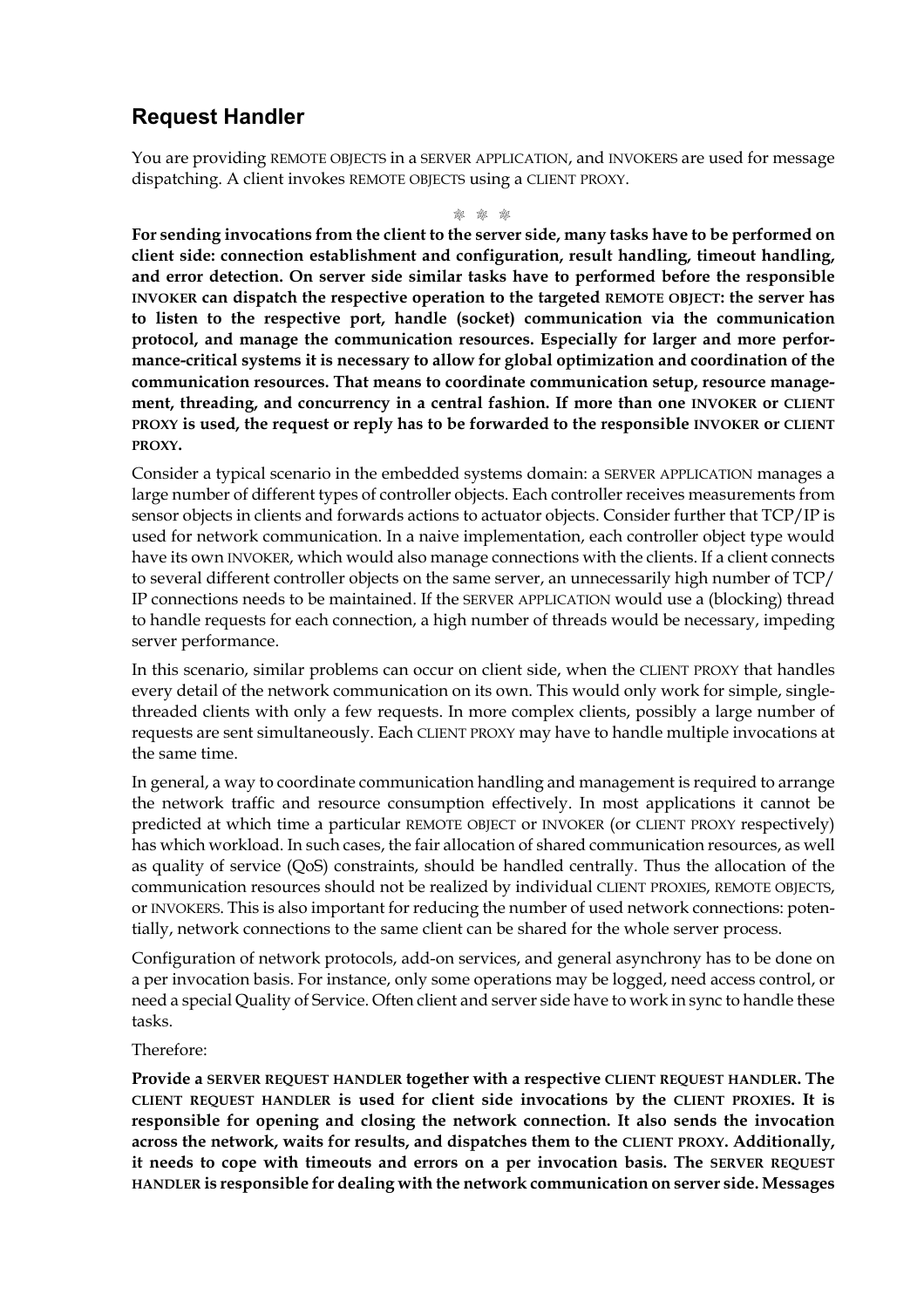## **Request Handler**

You are providing REMOTE OBJECTS in a SERVER APPLICATION, and INVOKERS are used for message dispatching. A client invokes REMOTE OBJECTS using a CLIENT PROXY.

M M M

**For sending invocations from the client to the server side, many tasks have to be performed on client side: connection establishment and configuration, result handling, timeout handling, and error detection. On server side similar tasks have to performed before the responsible INVOKER can dispatch the respective operation to the targeted REMOTE OBJECT: the server has to listen to the respective port, handle (socket) communication via the communication protocol, and manage the communication resources. Especially for larger and more performance-critical systems it is necessary to allow for global optimization and coordination of the communication resources. That means to coordinate communication setup, resource management, threading, and concurrency in a central fashion. If more than one INVOKER or CLIENT PROXY is used, the request or reply has to be forwarded to the responsible INVOKER or CLIENT PROXY.**

Consider a typical scenario in the embedded systems domain: a SERVER APPLICATION manages a large number of different types of controller objects. Each controller receives measurements from sensor objects in clients and forwards actions to actuator objects. Consider further that TCP/IP is used for network communication. In a naive implementation, each controller object type would have its own INVOKER, which would also manage connections with the clients. If a client connects to several different controller objects on the same server, an unnecessarily high number of TCP/ IP connections needs to be maintained. If the SERVER APPLICATION would use a (blocking) thread to handle requests for each connection, a high number of threads would be necessary, impeding server performance.

In this scenario, similar problems can occur on client side, when the CLIENT PROXY that handles every detail of the network communication on its own. This would only work for simple, singlethreaded clients with only a few requests. In more complex clients, possibly a large number of requests are sent simultaneously. Each CLIENT PROXY may have to handle multiple invocations at the same time.

In general, a way to coordinate communication handling and management is required to arrange the network traffic and resource consumption effectively. In most applications it cannot be predicted at which time a particular REMOTE OBJECT or INVOKER (or CLIENT PROXY respectively) has which workload. In such cases, the fair allocation of shared communication resources, as well as quality of service (QoS) constraints, should be handled centrally. Thus the allocation of the communication resources should not be realized by individual CLIENT PROXIES, REMOTE OBJECTS, or INVOKERS. This is also important for reducing the number of used network connections: potentially, network connections to the same client can be shared for the whole server process.

Configuration of network protocols, add-on services, and general asynchrony has to be done on a per invocation basis. For instance, only some operations may be logged, need access control, or need a special Quality of Service. Often client and server side have to work in sync to handle these tasks.

#### Therefore:

**Provide a SERVER REQUEST HANDLER together with a respective CLIENT REQUEST HANDLER. The CLIENT REQUEST HANDLER is used for client side invocations by the CLIENT PROXIES. It is responsible for opening and closing the network connection. It also sends the invocation across the network, waits for results, and dispatches them to the CLIENT PROXY. Additionally, it needs to cope with timeouts and errors on a per invocation basis. The SERVER REQUEST HANDLER is responsible for dealing with the network communication on server side. Messages**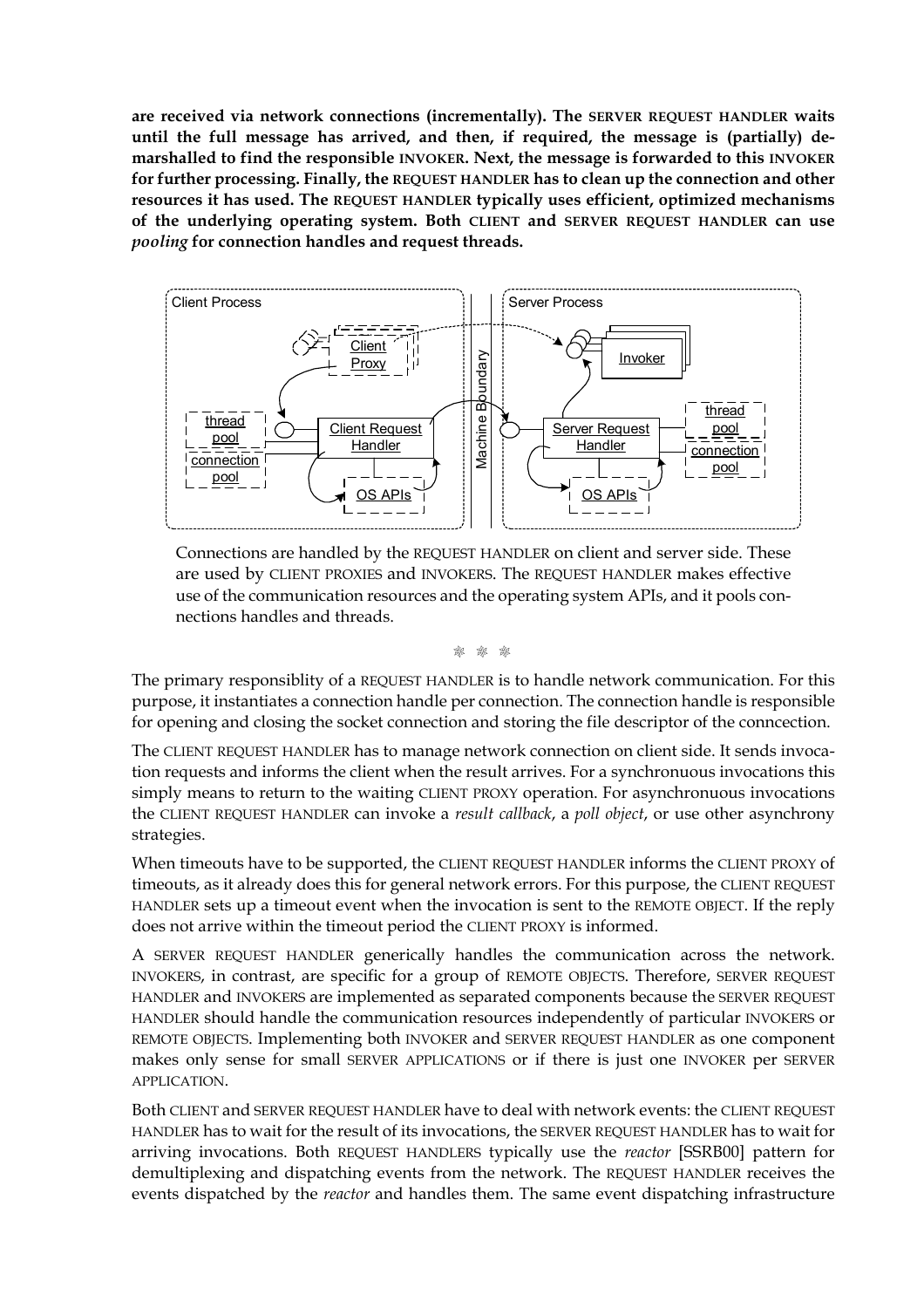**are received via network connections (incrementally). The SERVER REQUEST HANDLER waits until the full message has arrived, and then, if required, the message is (partially) demarshalled to find the responsible INVOKER. Next, the message is forwarded to this INVOKER for further processing. Finally, the REQUEST HANDLER has to clean up the connection and other resources it has used. The REQUEST HANDLER typically uses efficient, optimized mechanisms of the underlying operating system. Both CLIENT and SERVER REQUEST HANDLER can use** *pooling* **for connection handles and request threads.**



Connections are handled by the REQUEST HANDLER on client and server side. These are used by CLIENT PROXIES and INVOKERS. The REQUEST HANDLER makes effective use of the communication resources and the operating system APIs, and it pools connections handles and threads.

M M M

The primary responsiblity of a REQUEST HANDLER is to handle network communication. For this purpose, it instantiates a connection handle per connection. The connection handle is responsible for opening and closing the socket connection and storing the file descriptor of the conncection.

The CLIENT REQUEST HANDLER has to manage network connection on client side. It sends invocation requests and informs the client when the result arrives. For a synchronuous invocations this simply means to return to the waiting CLIENT PROXY operation. For asynchronuous invocations the CLIENT REQUEST HANDLER can invoke a *result callback*, a *poll object*, or use other asynchrony strategies.

When timeouts have to be supported, the CLIENT REQUEST HANDLER informs the CLIENT PROXY of timeouts, as it already does this for general network errors. For this purpose, the CLIENT REQUEST HANDLER sets up a timeout event when the invocation is sent to the REMOTE OBJECT. If the reply does not arrive within the timeout period the CLIENT PROXY is informed.

A SERVER REQUEST HANDLER generically handles the communication across the network. INVOKERS, in contrast, are specific for a group of REMOTE OBJECTS. Therefore, SERVER REQUEST HANDLER and INVOKERS are implemented as separated components because the SERVER REQUEST HANDLER should handle the communication resources independently of particular INVOKERS or REMOTE OBJECTS. Implementing both INVOKER and SERVER REQUEST HANDLER as one component makes only sense for small SERVER APPLICATIONS or if there is just one INVOKER per SERVER APPLICATION.

Both CLIENT and SERVER REQUEST HANDLER have to deal with network events: the CLIENT REQUEST HANDLER has to wait for the result of its invocations, the SERVER REQUEST HANDLER has to wait for arriving invocations. Both REQUEST HANDLERS typically use the *reactor* [SSRB00] pattern for demultiplexing and dispatching events from the network. The REQUEST HANDLER receives the events dispatched by the *reactor* and handles them. The same event dispatching infrastructure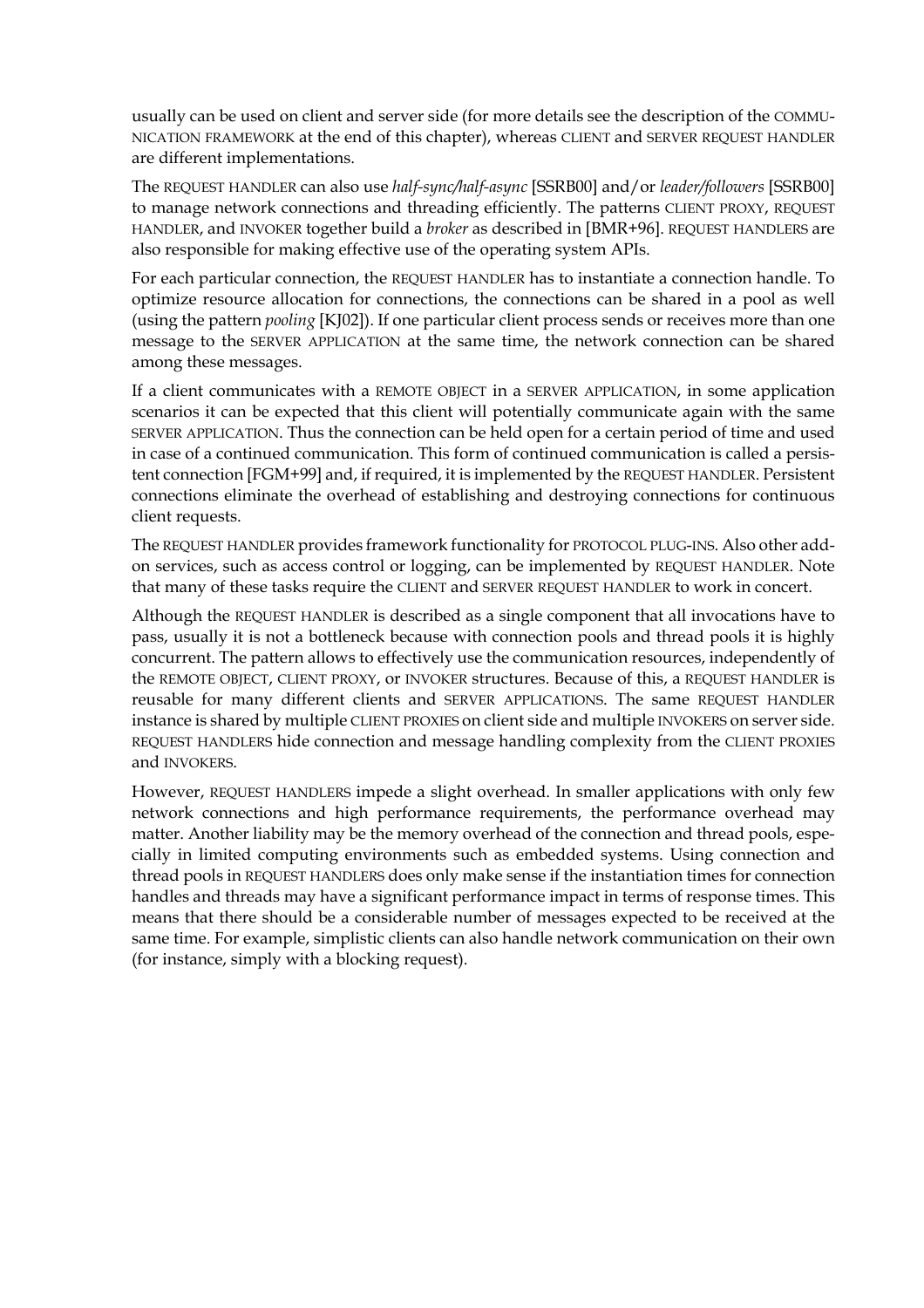usually can be used on client and server side (for more details see the description of the COMMU-NICATION FRAMEWORK at the end of this chapter), whereas CLIENT and SERVER REQUEST HANDLER are different implementations.

The REQUEST HANDLER can also use *half-sync/half-async* [SSRB00] and/or *leader/followers* [SSRB00] to manage network connections and threading efficiently. The patterns CLIENT PROXY, REQUEST HANDLER, and INVOKER together build a *broker* as described in [BMR+96]. REQUEST HANDLERS are also responsible for making effective use of the operating system APIs.

For each particular connection, the REQUEST HANDLER has to instantiate a connection handle. To optimize resource allocation for connections, the connections can be shared in a pool as well (using the pattern *pooling* [KJ02]). If one particular client process sends or receives more than one message to the SERVER APPLICATION at the same time, the network connection can be shared among these messages.

If a client communicates with a REMOTE OBJECT in a SERVER APPLICATION, in some application scenarios it can be expected that this client will potentially communicate again with the same SERVER APPLICATION. Thus the connection can be held open for a certain period of time and used in case of a continued communication. This form of continued communication is called a persistent connection [FGM+99] and, if required, it is implemented by the REQUEST HANDLER. Persistent connections eliminate the overhead of establishing and destroying connections for continuous client requests.

The REQUEST HANDLER provides framework functionality for PROTOCOL PLUG-INS. Also other addon services, such as access control or logging, can be implemented by REQUEST HANDLER. Note that many of these tasks require the CLIENT and SERVER REQUEST HANDLER to work in concert.

Although the REQUEST HANDLER is described as a single component that all invocations have to pass, usually it is not a bottleneck because with connection pools and thread pools it is highly concurrent. The pattern allows to effectively use the communication resources, independently of the REMOTE OBJECT, CLIENT PROXY, or INVOKER structures. Because of this, a REQUEST HANDLER is reusable for many different clients and SERVER APPLICATIONS. The same REQUEST HANDLER instance is shared by multiple CLIENT PROXIES on client side and multiple INVOKERS on server side. REQUEST HANDLERS hide connection and message handling complexity from the CLIENT PROXIES and INVOKERS.

However, REQUEST HANDLERS impede a slight overhead. In smaller applications with only few network connections and high performance requirements, the performance overhead may matter. Another liability may be the memory overhead of the connection and thread pools, especially in limited computing environments such as embedded systems. Using connection and thread pools in REQUEST HANDLERS does only make sense if the instantiation times for connection handles and threads may have a significant performance impact in terms of response times. This means that there should be a considerable number of messages expected to be received at the same time. For example, simplistic clients can also handle network communication on their own (for instance, simply with a blocking request).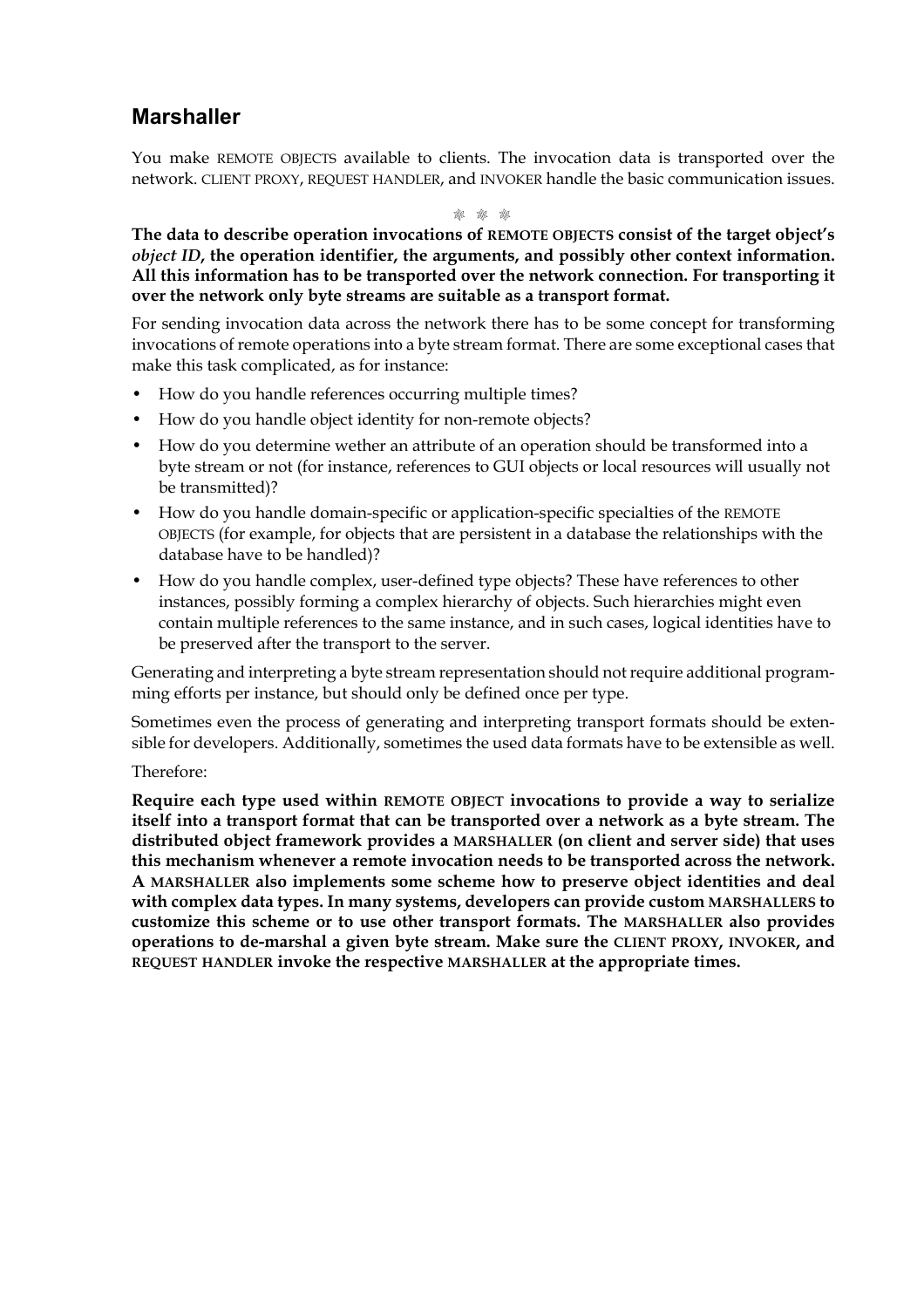### **Marshaller**

You make REMOTE OBJECTS available to clients. The invocation data is transported over the network. CLIENT PROXY, REQUEST HANDLER, and INVOKER handle the basic communication issues.

M M M

**The data to describe operation invocations of REMOTE OBJECTS consist of the target object's** *object ID***, the operation identifier, the arguments, and possibly other context information. All this information has to be transported over the network connection. For transporting it over the network only byte streams are suitable as a transport format.**

For sending invocation data across the network there has to be some concept for transforming invocations of remote operations into a byte stream format. There are some exceptional cases that make this task complicated, as for instance:

- How do you handle references occurring multiple times?
- How do you handle object identity for non-remote objects?
- How do you determine wether an attribute of an operation should be transformed into a byte stream or not (for instance, references to GUI objects or local resources will usually not be transmitted)?
- How do you handle domain-specific or application-specific specialties of the REMOTE OBJECTS (for example, for objects that are persistent in a database the relationships with the database have to be handled)?
- How do you handle complex, user-defined type objects? These have references to other instances, possibly forming a complex hierarchy of objects. Such hierarchies might even contain multiple references to the same instance, and in such cases, logical identities have to be preserved after the transport to the server.

Generating and interpreting a byte stream representation should not require additional programming efforts per instance, but should only be defined once per type.

Sometimes even the process of generating and interpreting transport formats should be extensible for developers. Additionally, sometimes the used data formats have to be extensible as well.

#### Therefore:

**Require each type used within REMOTE OBJECT invocations to provide a way to serialize itself into a transport format that can be transported over a network as a byte stream. The distributed object framework provides a MARSHALLER (on client and server side) that uses this mechanism whenever a remote invocation needs to be transported across the network. A MARSHALLER also implements some scheme how to preserve object identities and deal with complex data types. In many systems, developers can provide custom MARSHALLERS to customize this scheme or to use other transport formats. The MARSHALLER also provides operations to de-marshal a given byte stream. Make sure the CLIENT PROXY, INVOKER, and REQUEST HANDLER invoke the respective MARSHALLER at the appropriate times.**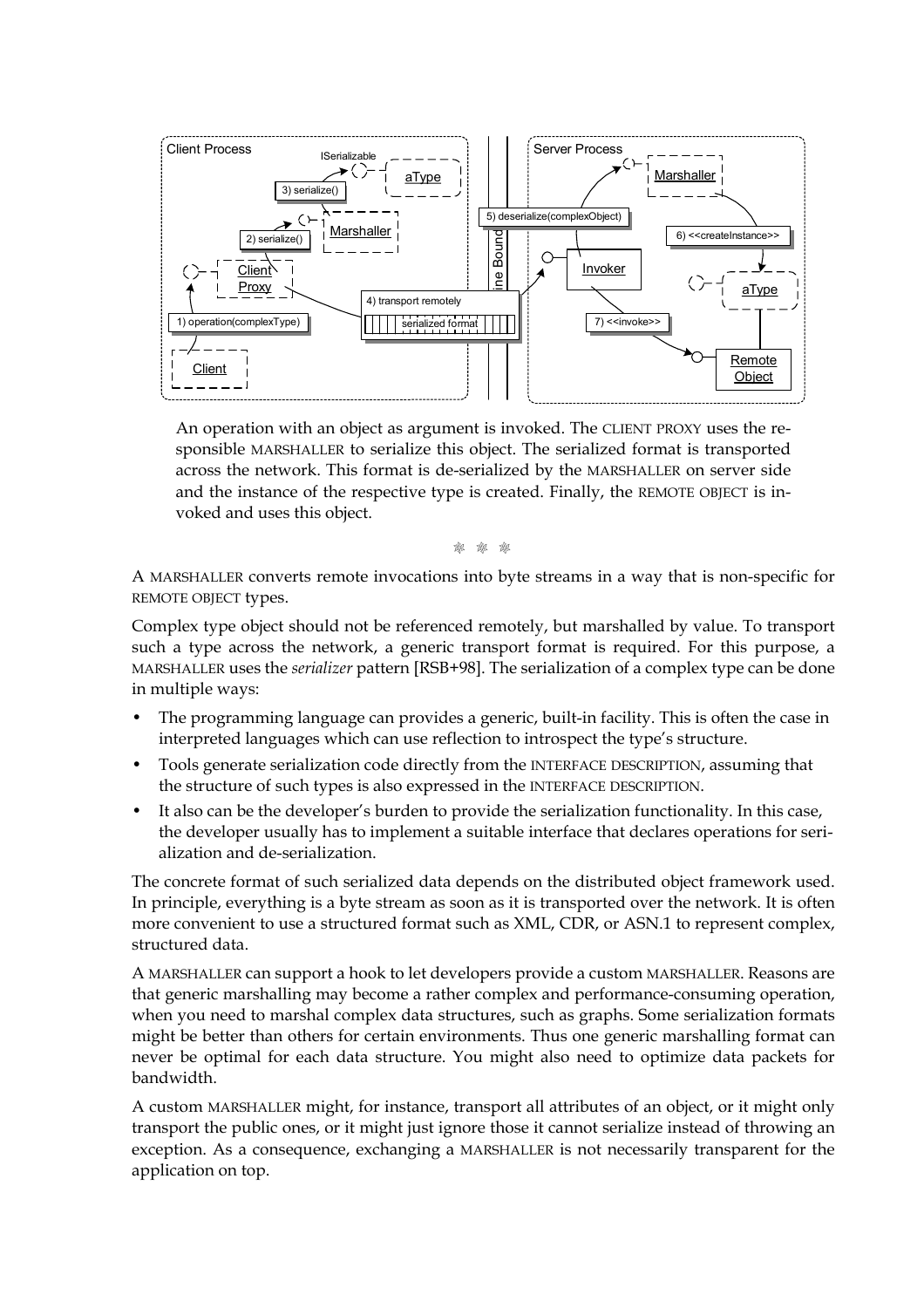

An operation with an object as argument is invoked. The CLIENT PROXY uses the responsible MARSHALLER to serialize this object. The serialized format is transported across the network. This format is de-serialized by the MARSHALLER on server side and the instance of the respective type is created. Finally, the REMOTE OBJECT is invoked and uses this object.

M M M

A MARSHALLER converts remote invocations into byte streams in a way that is non-specific for REMOTE OBJECT types.

Complex type object should not be referenced remotely, but marshalled by value. To transport such a type across the network, a generic transport format is required. For this purpose, a MARSHALLER uses the *serializer* pattern [RSB+98]. The serialization of a complex type can be done in multiple ways:

- The programming language can provides a generic, built-in facility. This is often the case in interpreted languages which can use reflection to introspect the type's structure.
- Tools generate serialization code directly from the INTERFACE DESCRIPTION, assuming that the structure of such types is also expressed in the INTERFACE DESCRIPTION.
- It also can be the developer's burden to provide the serialization functionality. In this case, the developer usually has to implement a suitable interface that declares operations for serialization and de-serialization.

The concrete format of such serialized data depends on the distributed object framework used. In principle, everything is a byte stream as soon as it is transported over the network. It is often more convenient to use a structured format such as XML, CDR, or ASN.1 to represent complex, structured data.

A MARSHALLER can support a hook to let developers provide a custom MARSHALLER. Reasons are that generic marshalling may become a rather complex and performance-consuming operation, when you need to marshal complex data structures, such as graphs. Some serialization formats might be better than others for certain environments. Thus one generic marshalling format can never be optimal for each data structure. You might also need to optimize data packets for bandwidth.

A custom MARSHALLER might, for instance, transport all attributes of an object, or it might only transport the public ones, or it might just ignore those it cannot serialize instead of throwing an exception. As a consequence, exchanging a MARSHALLER is not necessarily transparent for the application on top.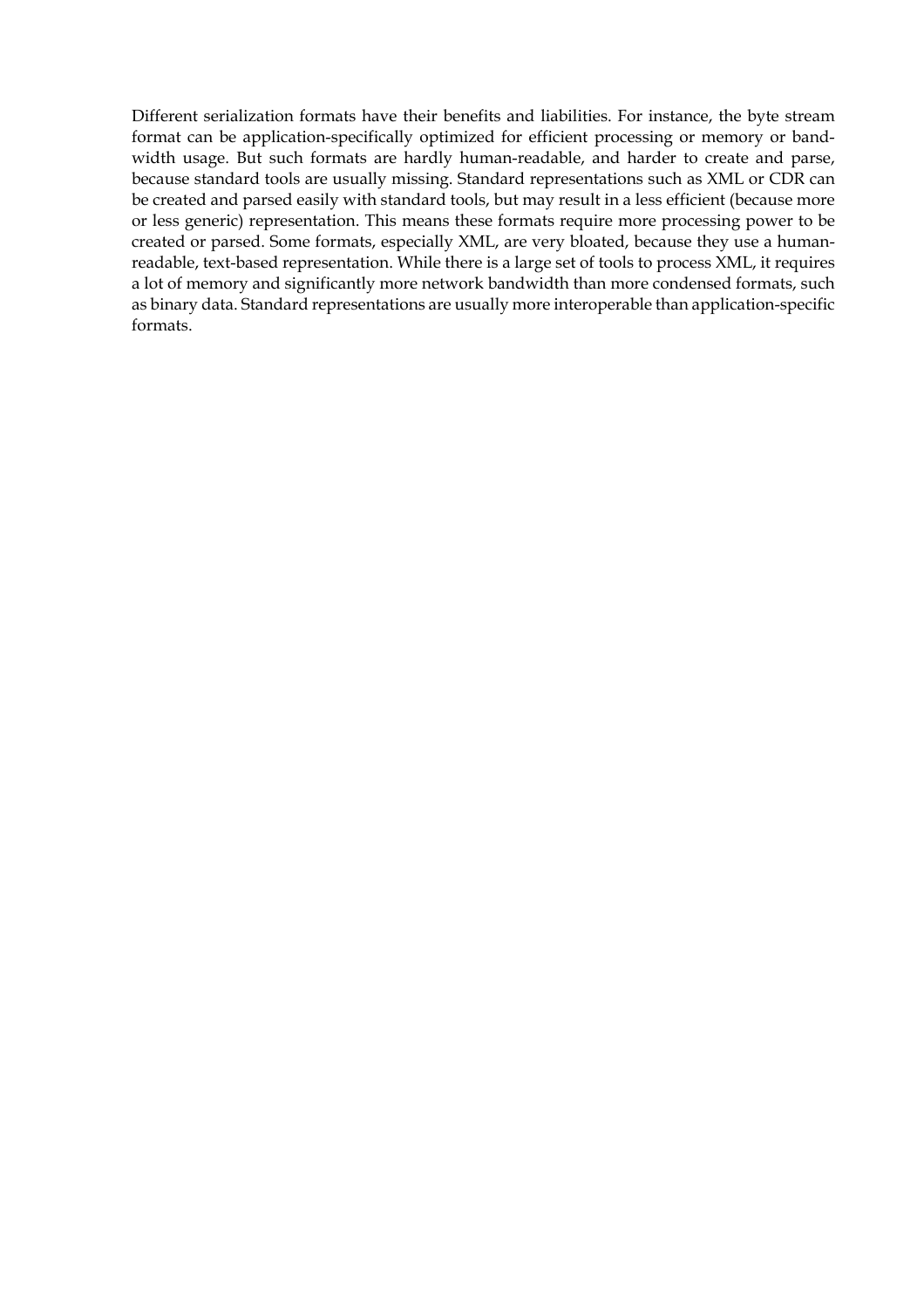Different serialization formats have their benefits and liabilities. For instance, the byte stream format can be application-specifically optimized for efficient processing or memory or bandwidth usage. But such formats are hardly human-readable, and harder to create and parse, because standard tools are usually missing. Standard representations such as XML or CDR can be created and parsed easily with standard tools, but may result in a less efficient (because more or less generic) representation. This means these formats require more processing power to be created or parsed. Some formats, especially XML, are very bloated, because they use a humanreadable, text-based representation. While there is a large set of tools to process XML, it requires a lot of memory and significantly more network bandwidth than more condensed formats, such as binary data. Standard representations are usually more interoperable than application-specific formats.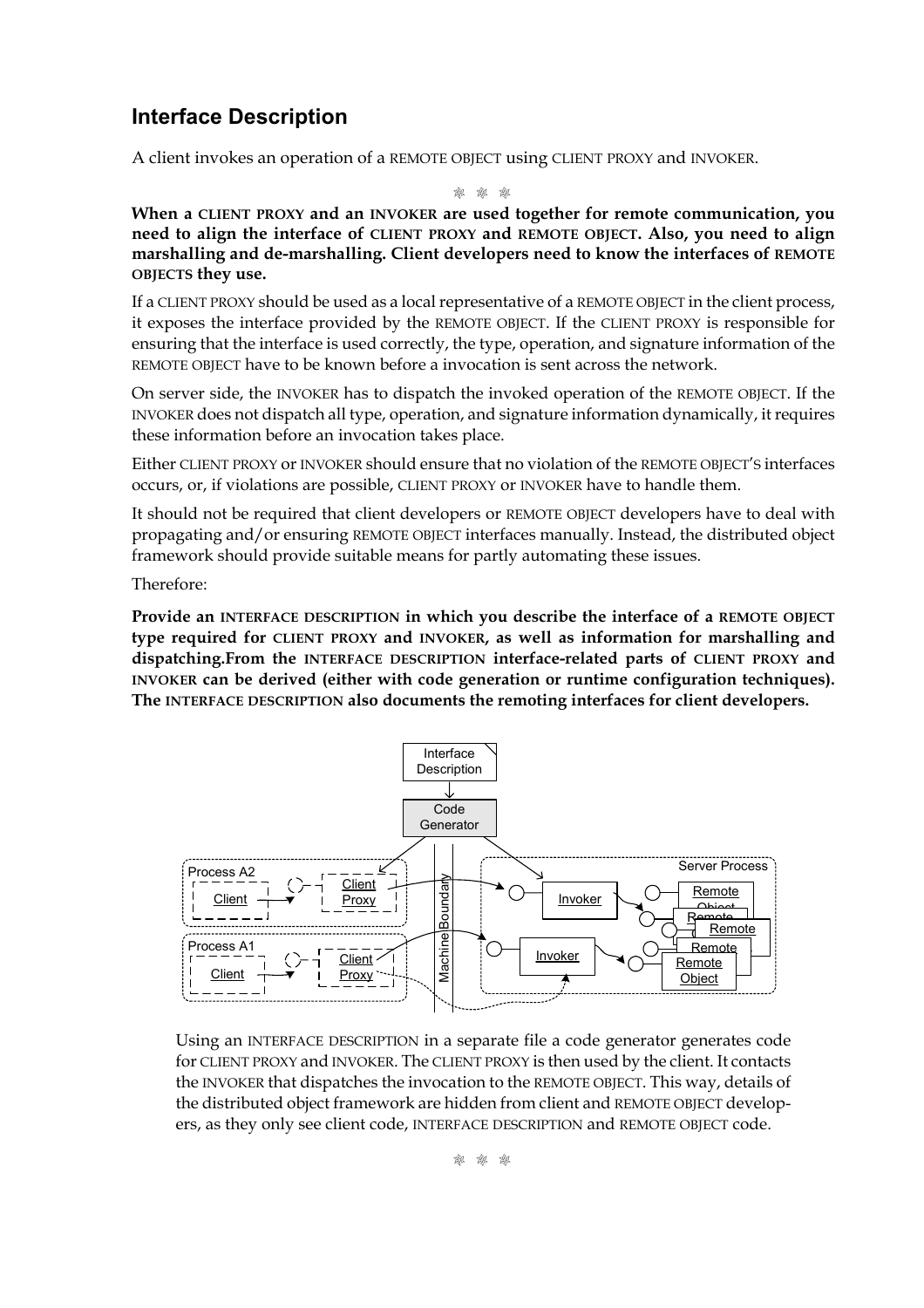### **Interface Description**

A client invokes an operation of a REMOTE OBJECT using CLIENT PROXY and INVOKER.

M M M

**When a CLIENT PROXY and an INVOKER are used together for remote communication, you need to align the interface of CLIENT PROXY and REMOTE OBJECT. Also, you need to align marshalling and de-marshalling. Client developers need to know the interfaces of REMOTE OBJECTS they use.**

If a CLIENT PROXY should be used as a local representative of a REMOTE OBJECT in the client process, it exposes the interface provided by the REMOTE OBJECT. If the CLIENT PROXY is responsible for ensuring that the interface is used correctly, the type, operation, and signature information of the REMOTE OBJECT have to be known before a invocation is sent across the network.

On server side, the INVOKER has to dispatch the invoked operation of the REMOTE OBJECT. If the INVOKER does not dispatch all type, operation, and signature information dynamically, it requires these information before an invocation takes place.

Either CLIENT PROXY or INVOKER should ensure that no violation of the REMOTE OBJECT'S interfaces occurs, or, if violations are possible, CLIENT PROXY or INVOKER have to handle them.

It should not be required that client developers or REMOTE OBJECT developers have to deal with propagating and/or ensuring REMOTE OBJECT interfaces manually. Instead, the distributed object framework should provide suitable means for partly automating these issues.

Therefore:

**Provide an INTERFACE DESCRIPTION in which you describe the interface of a REMOTE OBJECT type required for CLIENT PROXY and INVOKER, as well as information for marshalling and dispatching.From the INTERFACE DESCRIPTION interface-related parts of CLIENT PROXY and INVOKER can be derived (either with code generation or runtime configuration techniques). The INTERFACE DESCRIPTION also documents the remoting interfaces for client developers.**



Using an INTERFACE DESCRIPTION in a separate file a code generator generates code for CLIENT PROXY and INVOKER. The CLIENT PROXY is then used by the client. It contacts the INVOKER that dispatches the invocation to the REMOTE OBJECT. This way, details of the distributed object framework are hidden from client and REMOTE OBJECT developers, as they only see client code, INTERFACE DESCRIPTION and REMOTE OBJECT code.

M M M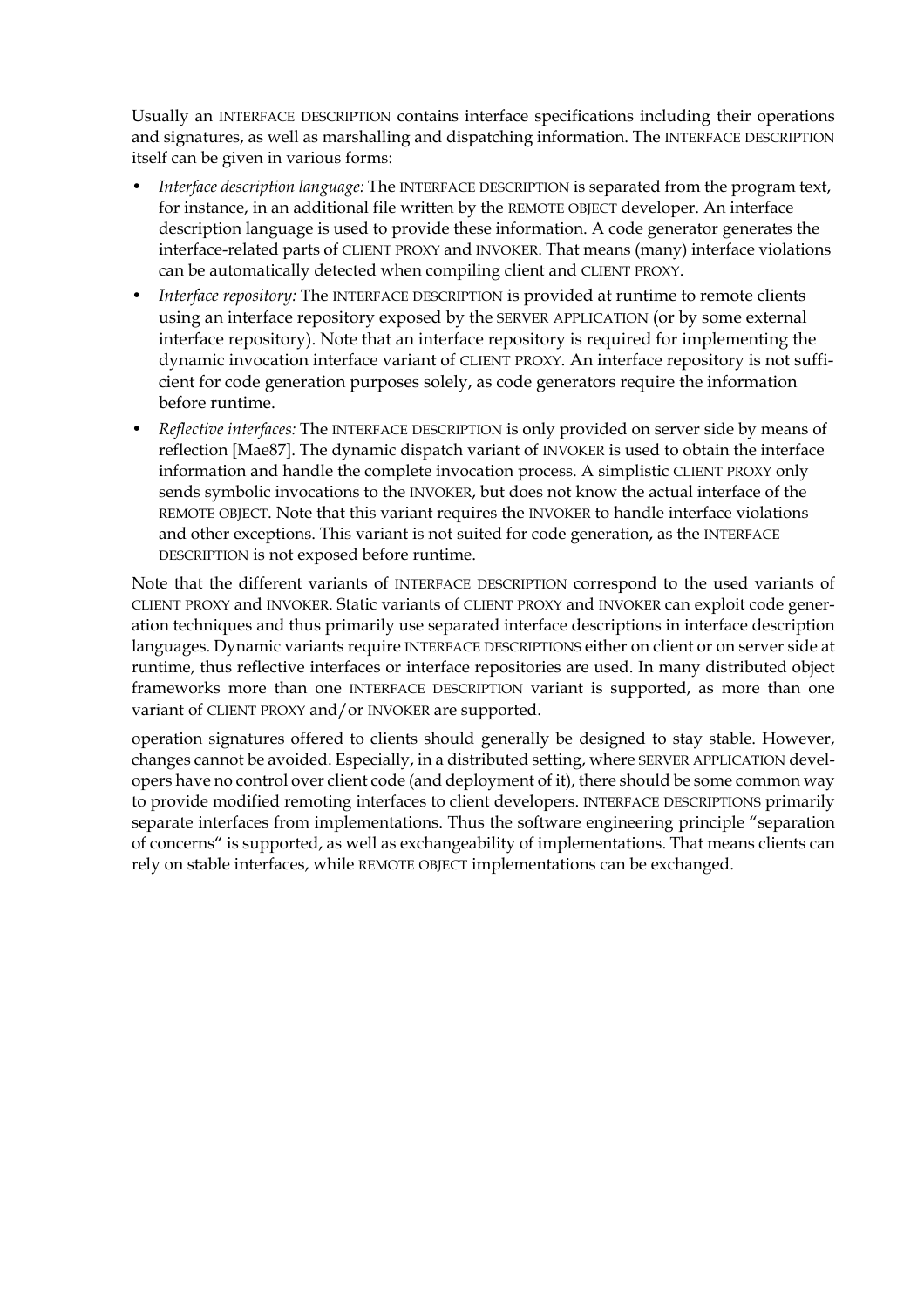Usually an INTERFACE DESCRIPTION contains interface specifications including their operations and signatures, as well as marshalling and dispatching information. The INTERFACE DESCRIPTION itself can be given in various forms:

- *Interface description language:* The INTERFACE DESCRIPTION is separated from the program text, for instance, in an additional file written by the REMOTE OBJECT developer. An interface description language is used to provide these information. A code generator generates the interface-related parts of CLIENT PROXY and INVOKER. That means (many) interface violations can be automatically detected when compiling client and CLIENT PROXY.
- *Interface repository:* The INTERFACE DESCRIPTION is provided at runtime to remote clients using an interface repository exposed by the SERVER APPLICATION (or by some external interface repository). Note that an interface repository is required for implementing the dynamic invocation interface variant of CLIENT PROXY. An interface repository is not sufficient for code generation purposes solely, as code generators require the information before runtime.
- *Reflective interfaces:* The INTERFACE DESCRIPTION is only provided on server side by means of reflection [Mae87]. The dynamic dispatch variant of INVOKER is used to obtain the interface information and handle the complete invocation process. A simplistic CLIENT PROXY only sends symbolic invocations to the INVOKER, but does not know the actual interface of the REMOTE OBJECT. Note that this variant requires the INVOKER to handle interface violations and other exceptions. This variant is not suited for code generation, as the INTERFACE DESCRIPTION is not exposed before runtime.

Note that the different variants of INTERFACE DESCRIPTION correspond to the used variants of CLIENT PROXY and INVOKER. Static variants of CLIENT PROXY and INVOKER can exploit code generation techniques and thus primarily use separated interface descriptions in interface description languages. Dynamic variants require INTERFACE DESCRIPTIONS either on client or on server side at runtime, thus reflective interfaces or interface repositories are used. In many distributed object frameworks more than one INTERFACE DESCRIPTION variant is supported, as more than one variant of CLIENT PROXY and/or INVOKER are supported.

operation signatures offered to clients should generally be designed to stay stable. However, changes cannot be avoided. Especially, in a distributed setting, where SERVER APPLICATION developers have no control over client code (and deployment of it), there should be some common way to provide modified remoting interfaces to client developers. INTERFACE DESCRIPTIONS primarily separate interfaces from implementations. Thus the software engineering principle "separation of concerns" is supported, as well as exchangeability of implementations. That means clients can rely on stable interfaces, while REMOTE OBJECT implementations can be exchanged.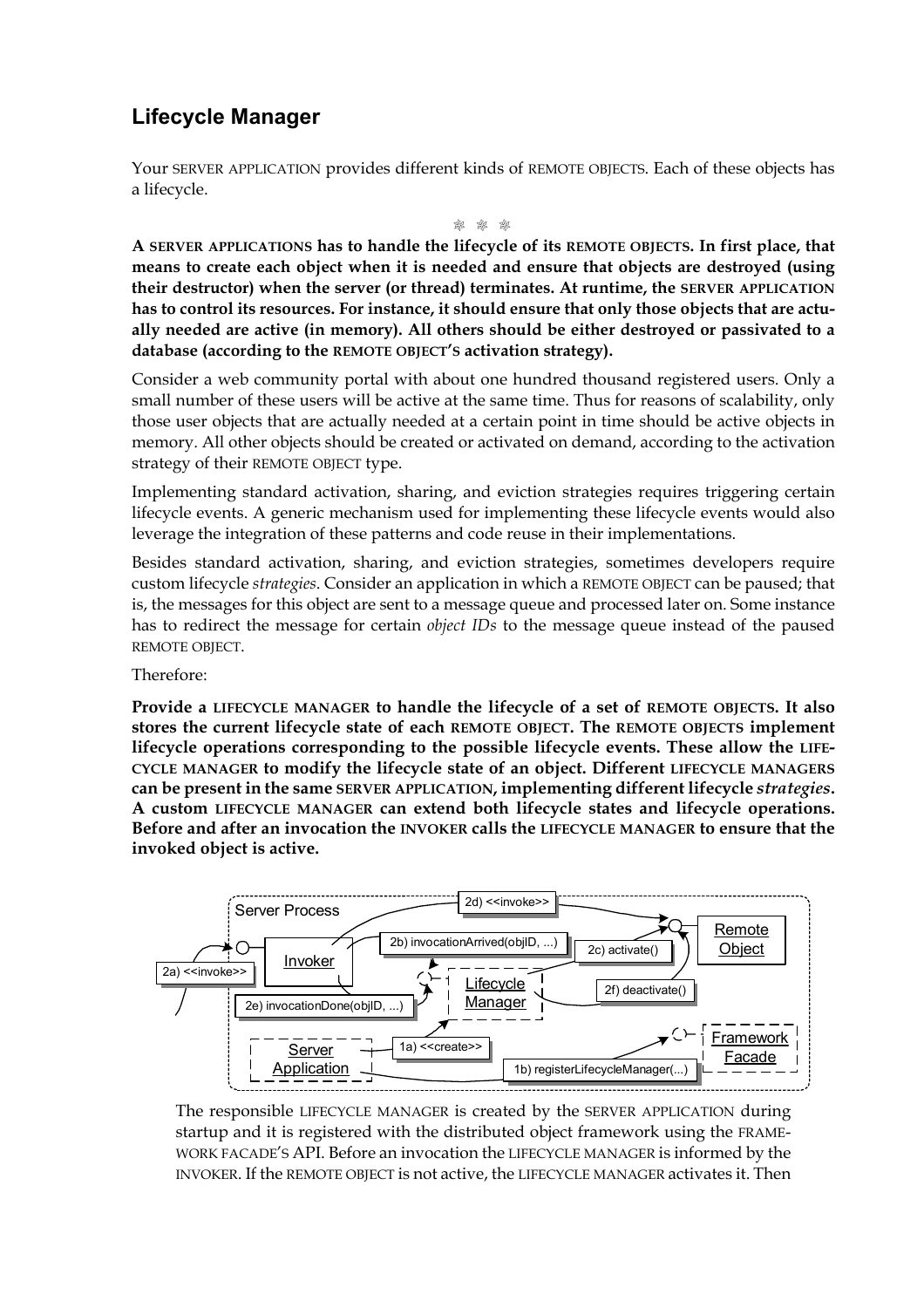# **Lifecycle Manager**

Your SERVER APPLICATION provides different kinds of REMOTE OBJECTS. Each of these objects has a lifecycle.

M M M

**A SERVER APPLICATIONS has to handle the lifecycle of its REMOTE OBJECTS. In first place, that means to create each object when it is needed and ensure that objects are destroyed (using their destructor) when the server (or thread) terminates. At runtime, the SERVER APPLICATION has to control its resources. For instance, it should ensure that only those objects that are actually needed are active (in memory). All others should be either destroyed or passivated to a database (according to the REMOTE OBJECT'S activation strategy).**

Consider a web community portal with about one hundred thousand registered users. Only a small number of these users will be active at the same time. Thus for reasons of scalability, only those user objects that are actually needed at a certain point in time should be active objects in memory. All other objects should be created or activated on demand, according to the activation strategy of their REMOTE OBJECT type.

Implementing standard activation, sharing, and eviction strategies requires triggering certain lifecycle events. A generic mechanism used for implementing these lifecycle events would also leverage the integration of these patterns and code reuse in their implementations.

Besides standard activation, sharing, and eviction strategies, sometimes developers require custom lifecycle *strategies*. Consider an application in which a REMOTE OBJECT can be paused; that is, the messages for this object are sent to a message queue and processed later on. Some instance has to redirect the message for certain *object IDs* to the message queue instead of the paused REMOTE OBJECT.

Therefore:

**Provide a LIFECYCLE MANAGER to handle the lifecycle of a set of REMOTE OBJECTS. It also stores the current lifecycle state of each REMOTE OBJECT. The REMOTE OBJECTS implement lifecycle operations corresponding to the possible lifecycle events. These allow the LIFE-CYCLE MANAGER to modify the lifecycle state of an object. Different LIFECYCLE MANAGERS can be present in the same SERVER APPLICATION, implementing different lifecycle** *strategies***. A custom LIFECYCLE MANAGER can extend both lifecycle states and lifecycle operations. Before and after an invocation the INVOKER calls the LIFECYCLE MANAGER to ensure that the invoked object is active.**



The responsible LIFECYCLE MANAGER is created by the SERVER APPLICATION during startup and it is registered with the distributed object framework using the FRAME-WORK FACADE'S API. Before an invocation the LIFECYCLE MANAGER is informed by the INVOKER. If the REMOTE OBJECT is not active, the LIFECYCLE MANAGER activates it. Then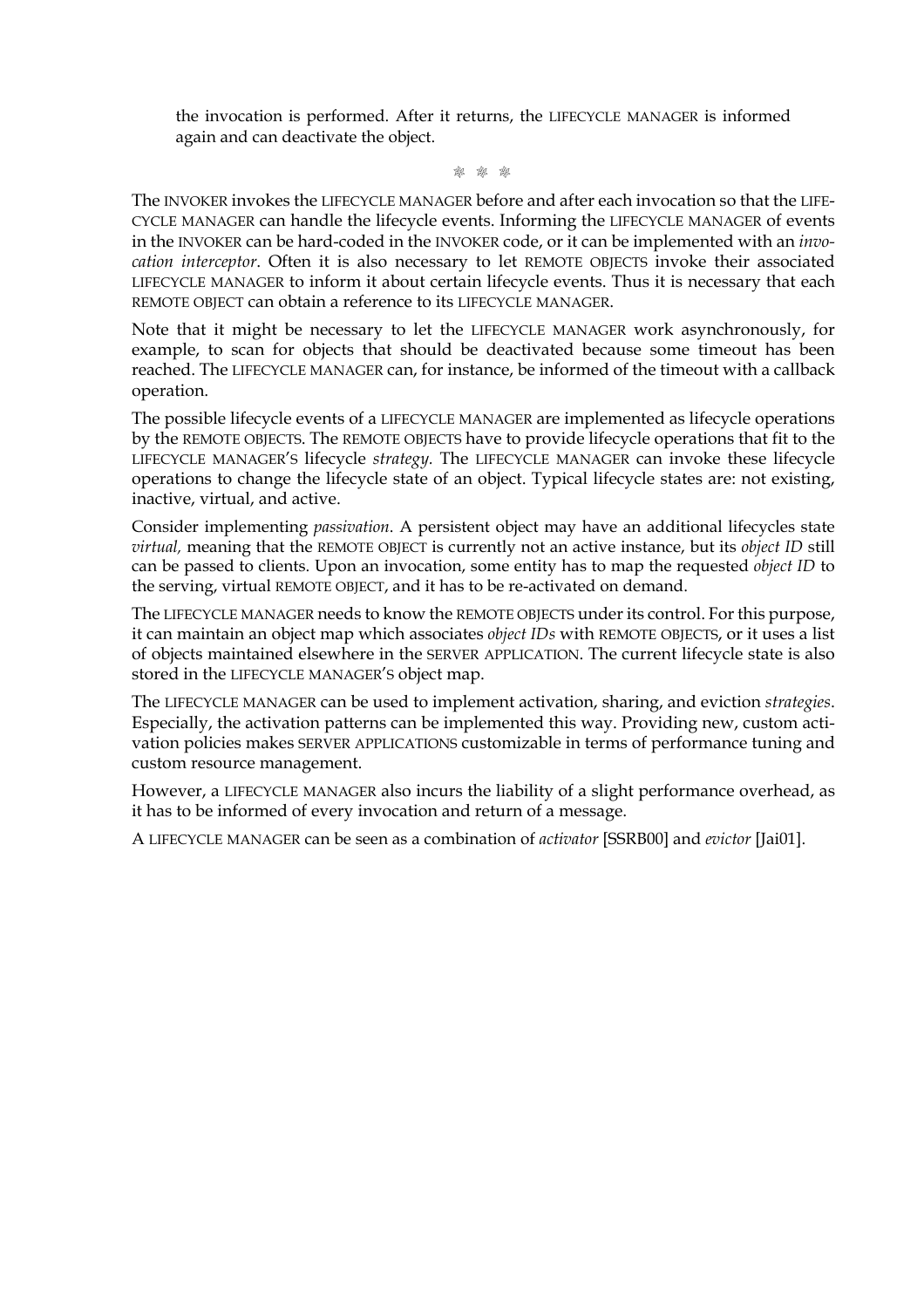the invocation is performed. After it returns, the LIFECYCLE MANAGER is informed again and can deactivate the object.

M M M

The INVOKER invokes the LIFECYCLE MANAGER before and after each invocation so that the LIFE-CYCLE MANAGER can handle the lifecycle events. Informing the LIFECYCLE MANAGER of events in the INVOKER can be hard-coded in the INVOKER code, or it can be implemented with an *invocation interceptor*. Often it is also necessary to let REMOTE OBJECTS invoke their associated LIFECYCLE MANAGER to inform it about certain lifecycle events. Thus it is necessary that each REMOTE OBJECT can obtain a reference to its LIFECYCLE MANAGER.

Note that it might be necessary to let the LIFECYCLE MANAGER work asynchronously, for example, to scan for objects that should be deactivated because some timeout has been reached. The LIFECYCLE MANAGER can, for instance, be informed of the timeout with a callback operation.

The possible lifecycle events of a LIFECYCLE MANAGER are implemented as lifecycle operations by the REMOTE OBJECTS. The REMOTE OBJECTS have to provide lifecycle operations that fit to the LIFECYCLE MANAGER'S lifecycle *strategy.* The LIFECYCLE MANAGER can invoke these lifecycle operations to change the lifecycle state of an object. Typical lifecycle states are: not existing, inactive, virtual, and active.

Consider implementing *passivation*. A persistent object may have an additional lifecycles state *virtual,* meaning that the REMOTE OBJECT is currently not an active instance, but its *object ID* still can be passed to clients. Upon an invocation, some entity has to map the requested *object ID* to the serving, virtual REMOTE OBJECT, and it has to be re-activated on demand.

The LIFECYCLE MANAGER needs to know the REMOTE OBJECTS under its control. For this purpose, it can maintain an object map which associates *object IDs* with REMOTE OBJECTS, or it uses a list of objects maintained elsewhere in the SERVER APPLICATION. The current lifecycle state is also stored in the LIFECYCLE MANAGER'S object map.

The LIFECYCLE MANAGER can be used to implement activation, sharing, and eviction *strategies*. Especially, the activation patterns can be implemented this way. Providing new, custom activation policies makes SERVER APPLICATIONS customizable in terms of performance tuning and custom resource management.

However, a LIFECYCLE MANAGER also incurs the liability of a slight performance overhead, as it has to be informed of every invocation and return of a message.

A LIFECYCLE MANAGER can be seen as a combination of *activator* [SSRB00] and *evictor* [Jai01].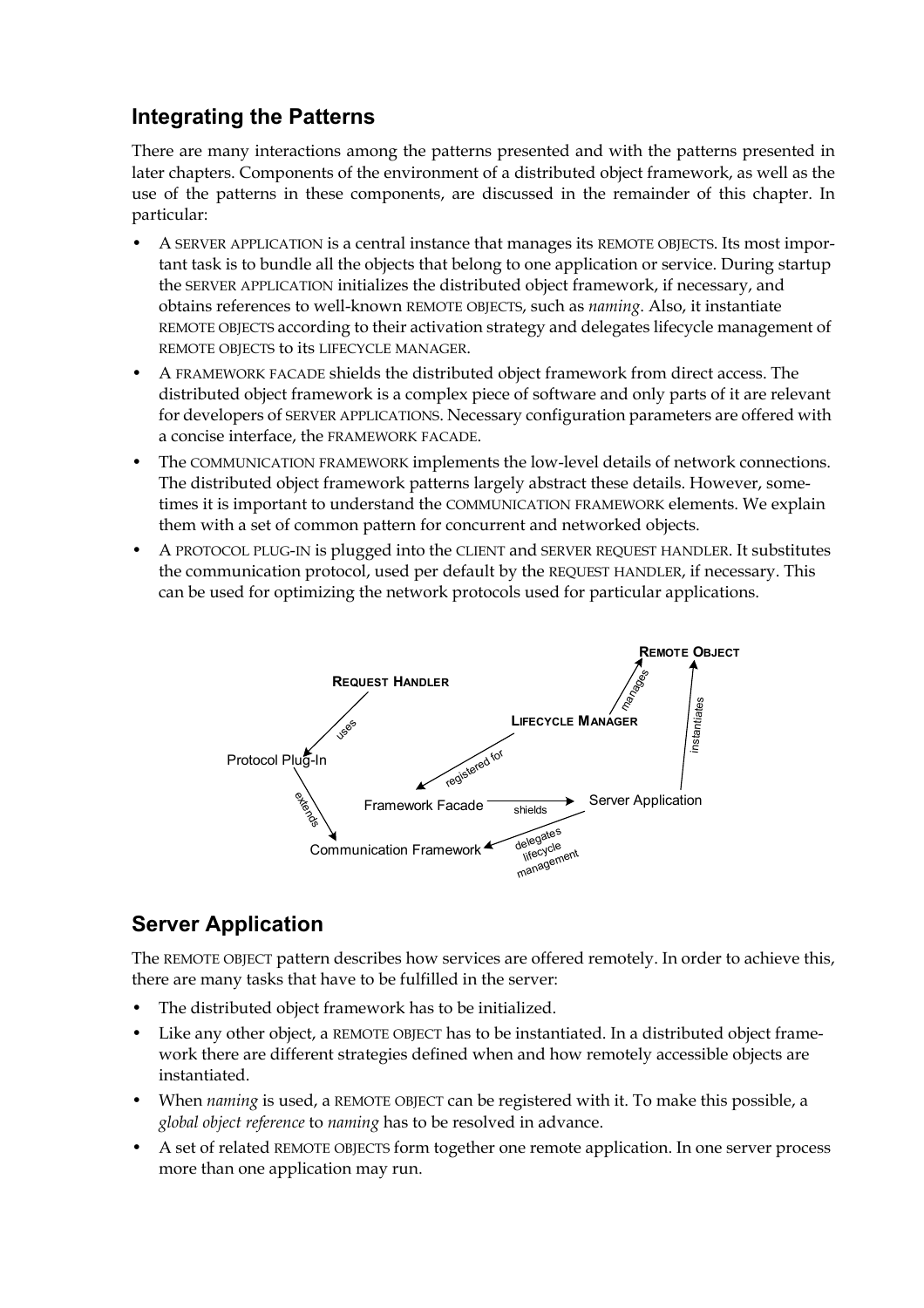# **Integrating the Patterns**

There are many interactions among the patterns presented and with the patterns presented in later chapters. Components of the environment of a distributed object framework, as well as the use of the patterns in these components, are discussed in the remainder of this chapter. In particular:

- A SERVER APPLICATION is a central instance that manages its REMOTE OBJECTS. Its most important task is to bundle all the objects that belong to one application or service. During startup the SERVER APPLICATION initializes the distributed object framework, if necessary, and obtains references to well-known REMOTE OBJECTS, such as *naming*. Also, it instantiate REMOTE OBJECTS according to their activation strategy and delegates lifecycle management of REMOTE OBJECTS to its LIFECYCLE MANAGER.
- A FRAMEWORK FACADE shields the distributed object framework from direct access. The distributed object framework is a complex piece of software and only parts of it are relevant for developers of SERVER APPLICATIONS. Necessary configuration parameters are offered with a concise interface, the FRAMEWORK FACADE.
- The COMMUNICATION FRAMEWORK implements the low-level details of network connections. The distributed object framework patterns largely abstract these details. However, sometimes it is important to understand the COMMUNICATION FRAMEWORK elements. We explain them with a set of common pattern for concurrent and networked objects.
- A PROTOCOL PLUG-IN is plugged into the CLIENT and SERVER REQUEST HANDLER. It substitutes the communication protocol, used per default by the REQUEST HANDLER, if necessary. This can be used for optimizing the network protocols used for particular applications.



# **Server Application**

The REMOTE OBJECT pattern describes how services are offered remotely. In order to achieve this, there are many tasks that have to be fulfilled in the server:

- The distributed object framework has to be initialized.
- Like any other object, a REMOTE OBJECT has to be instantiated. In a distributed object framework there are different strategies defined when and how remotely accessible objects are instantiated.
- When *naming* is used, a REMOTE OBJECT can be registered with it. To make this possible, a *global object reference* to *naming* has to be resolved in advance.
- A set of related REMOTE OBJECTS form together one remote application. In one server process more than one application may run.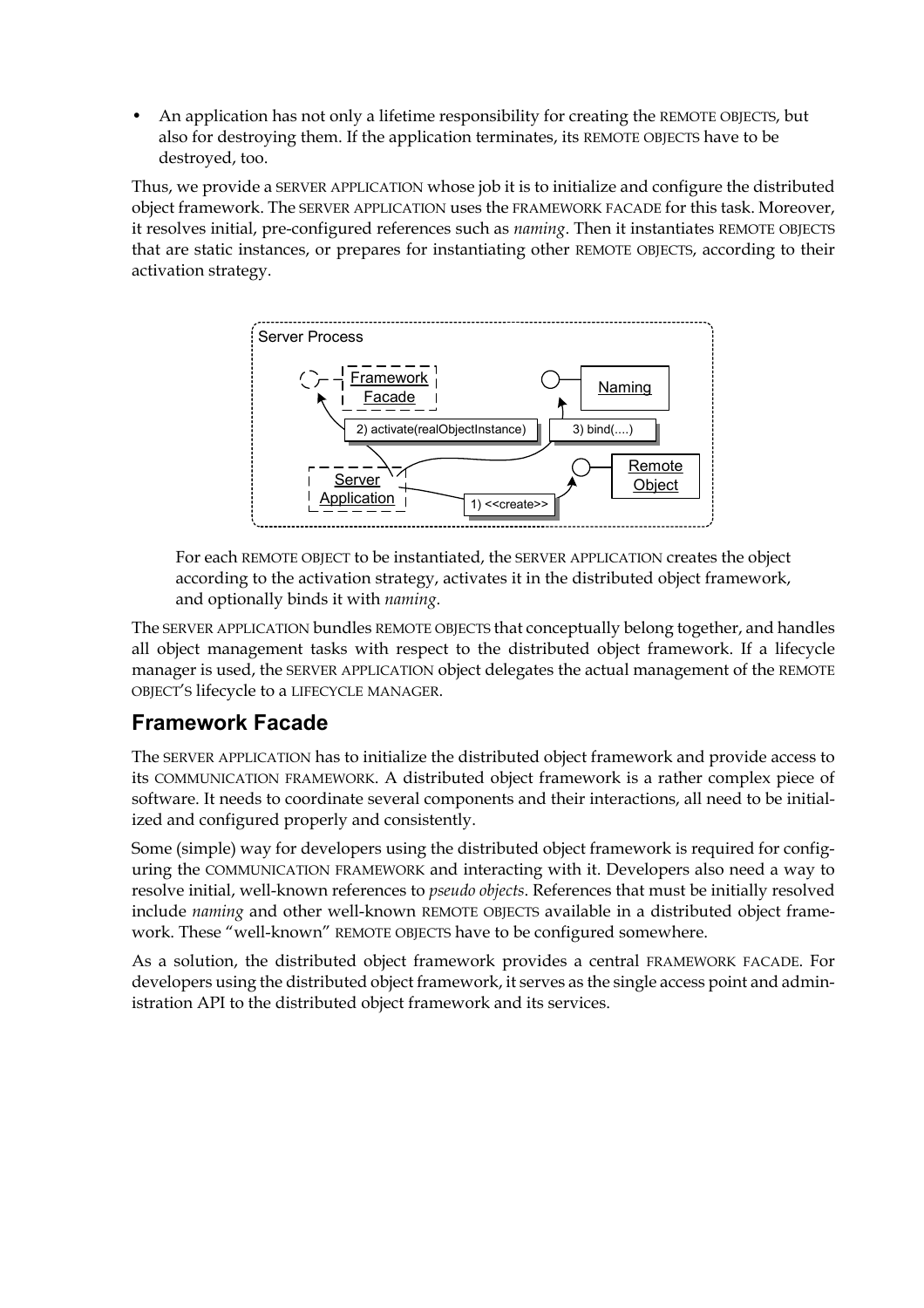• An application has not only a lifetime responsibility for creating the REMOTE OBJECTS, but also for destroying them. If the application terminates, its REMOTE OBJECTS have to be destroyed, too.

Thus, we provide a SERVER APPLICATION whose job it is to initialize and configure the distributed object framework. The SERVER APPLICATION uses the FRAMEWORK FACADE for this task. Moreover, it resolves initial, pre-configured references such as *naming*. Then it instantiates REMOTE OBJECTS that are static instances, or prepares for instantiating other REMOTE OBJECTS, according to their activation strategy.



For each REMOTE OBJECT to be instantiated, the SERVER APPLICATION creates the object according to the activation strategy, activates it in the distributed object framework, and optionally binds it with *naming*.

The SERVER APPLICATION bundles REMOTE OBJECTS that conceptually belong together, and handles all object management tasks with respect to the distributed object framework. If a lifecycle manager is used, the SERVER APPLICATION object delegates the actual management of the REMOTE OBJECT'S lifecycle to a LIFECYCLE MANAGER.

### **Framework Facade**

The SERVER APPLICATION has to initialize the distributed object framework and provide access to its COMMUNICATION FRAMEWORK. A distributed object framework is a rather complex piece of software. It needs to coordinate several components and their interactions, all need to be initialized and configured properly and consistently.

Some (simple) way for developers using the distributed object framework is required for configuring the COMMUNICATION FRAMEWORK and interacting with it. Developers also need a way to resolve initial, well-known references to *pseudo objects*. References that must be initially resolved include *naming* and other well-known REMOTE OBJECTS available in a distributed object framework. These "well-known" REMOTE OBJECTS have to be configured somewhere.

As a solution, the distributed object framework provides a central FRAMEWORK FACADE. For developers using the distributed object framework, it serves as the single access point and administration API to the distributed object framework and its services.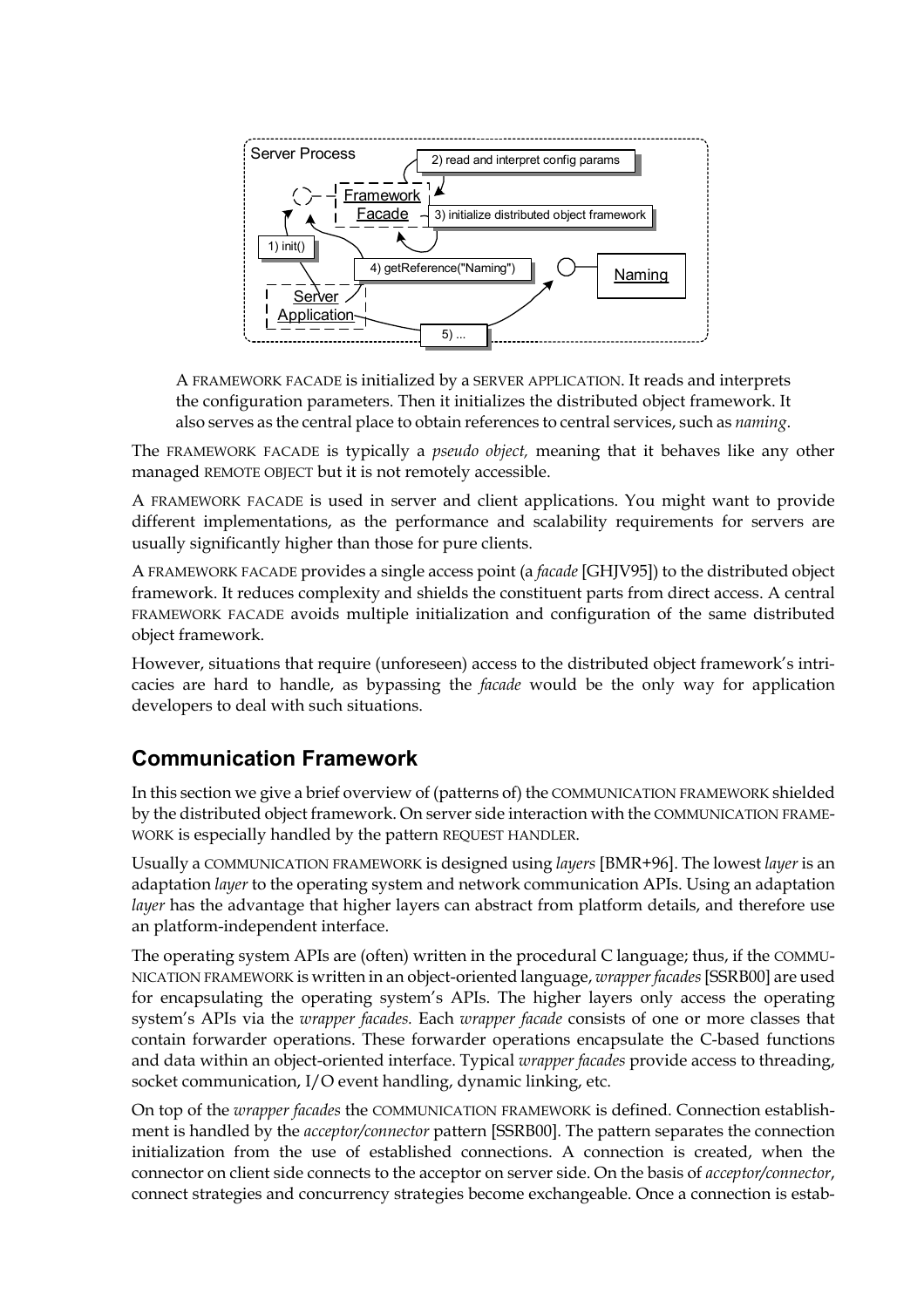

A FRAMEWORK FACADE is initialized by a SERVER APPLICATION. It reads and interprets the configuration parameters. Then it initializes the distributed object framework. It also serves as the central place to obtain references to central services, such as *naming*.

The FRAMEWORK FACADE is typically a *pseudo object,* meaning that it behaves like any other managed REMOTE OBJECT but it is not remotely accessible.

A FRAMEWORK FACADE is used in server and client applications. You might want to provide different implementations, as the performance and scalability requirements for servers are usually significantly higher than those for pure clients.

A FRAMEWORK FACADE provides a single access point (a *facade* [GHJV95]) to the distributed object framework. It reduces complexity and shields the constituent parts from direct access. A central FRAMEWORK FACADE avoids multiple initialization and configuration of the same distributed object framework.

However, situations that require (unforeseen) access to the distributed object framework's intricacies are hard to handle, as bypassing the *facade* would be the only way for application developers to deal with such situations.

#### **Communication Framework**

In this section we give a brief overview of (patterns of) the COMMUNICATION FRAMEWORK shielded by the distributed object framework. On server side interaction with the COMMUNICATION FRAME-WORK is especially handled by the pattern REQUEST HANDLER.

Usually a COMMUNICATION FRAMEWORK is designed using *layers* [BMR+96]. The lowest *layer* is an adaptation *layer* to the operating system and network communication APIs. Using an adaptation *layer* has the advantage that higher layers can abstract from platform details, and therefore use an platform-independent interface.

The operating system APIs are (often) written in the procedural C language; thus, if the COMMU-NICATION FRAMEWORK is written in an object-oriented language, *wrapper facades* [SSRB00] are used for encapsulating the operating system's APIs. The higher layers only access the operating system's APIs via the *wrapper facades.* Each *wrapper facade* consists of one or more classes that contain forwarder operations. These forwarder operations encapsulate the C-based functions and data within an object-oriented interface. Typical *wrapper facades* provide access to threading, socket communication, I/O event handling, dynamic linking, etc.

On top of the *wrapper facades* the COMMUNICATION FRAMEWORK is defined. Connection establishment is handled by the *acceptor/connector* pattern [SSRB00]. The pattern separates the connection initialization from the use of established connections. A connection is created, when the connector on client side connects to the acceptor on server side. On the basis of *acceptor/connector*, connect strategies and concurrency strategies become exchangeable. Once a connection is estab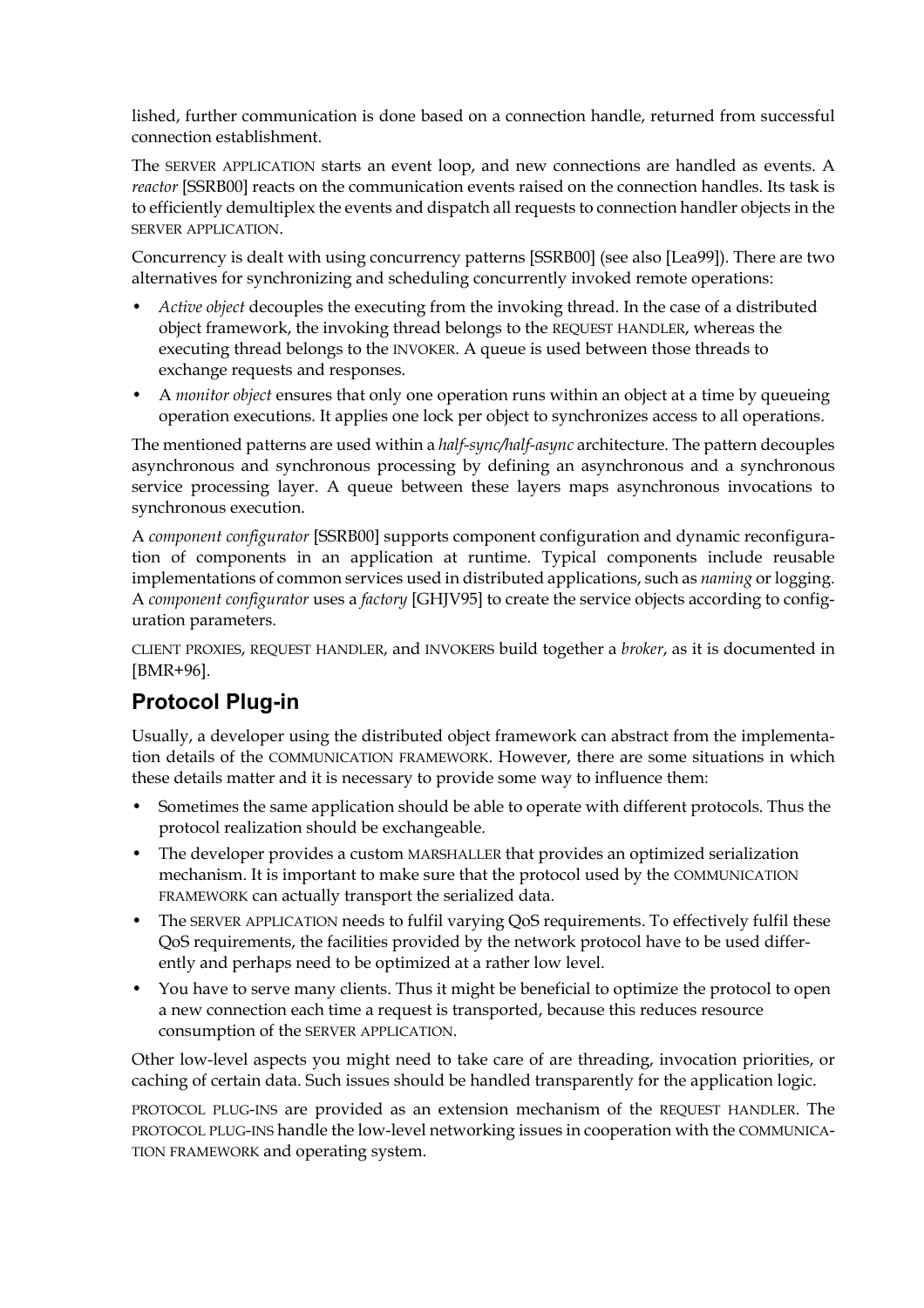lished, further communication is done based on a connection handle, returned from successful connection establishment.

The SERVER APPLICATION starts an event loop, and new connections are handled as events. A *reactor* [SSRB00] reacts on the communication events raised on the connection handles. Its task is to efficiently demultiplex the events and dispatch all requests to connection handler objects in the SERVER APPLICATION.

Concurrency is dealt with using concurrency patterns [SSRB00] (see also [Lea99]). There are two alternatives for synchronizing and scheduling concurrently invoked remote operations:

- *Active object* decouples the executing from the invoking thread. In the case of a distributed object framework, the invoking thread belongs to the REQUEST HANDLER, whereas the executing thread belongs to the INVOKER. A queue is used between those threads to exchange requests and responses.
- A *monitor object* ensures that only one operation runs within an object at a time by queueing operation executions. It applies one lock per object to synchronizes access to all operations.

The mentioned patterns are used within a *half-sync/half-async* architecture. The pattern decouples asynchronous and synchronous processing by defining an asynchronous and a synchronous service processing layer. A queue between these layers maps asynchronous invocations to synchronous execution.

A *component configurator* [SSRB00] supports component configuration and dynamic reconfiguration of components in an application at runtime. Typical components include reusable implementations of common services used in distributed applications, such as *naming* or logging. A *component configurator* uses a *factory* [GHJV95] to create the service objects according to configuration parameters.

CLIENT PROXIES, REQUEST HANDLER, and INVOKERS build together a *broker*, as it is documented in [BMR+96].

### **Protocol Plug-in**

Usually, a developer using the distributed object framework can abstract from the implementation details of the COMMUNICATION FRAMEWORK. However, there are some situations in which these details matter and it is necessary to provide some way to influence them:

- Sometimes the same application should be able to operate with different protocols. Thus the protocol realization should be exchangeable.
- The developer provides a custom MARSHALLER that provides an optimized serialization mechanism. It is important to make sure that the protocol used by the COMMUNICATION FRAMEWORK can actually transport the serialized data.
- The SERVER APPLICATION needs to fulfil varying QoS requirements. To effectively fulfil these QoS requirements, the facilities provided by the network protocol have to be used differently and perhaps need to be optimized at a rather low level.
- You have to serve many clients. Thus it might be beneficial to optimize the protocol to open a new connection each time a request is transported, because this reduces resource consumption of the SERVER APPLICATION.

Other low-level aspects you might need to take care of are threading, invocation priorities, or caching of certain data. Such issues should be handled transparently for the application logic.

PROTOCOL PLUG-INS are provided as an extension mechanism of the REQUEST HANDLER. The PROTOCOL PLUG-INS handle the low-level networking issues in cooperation with the COMMUNICA-TION FRAMEWORK and operating system.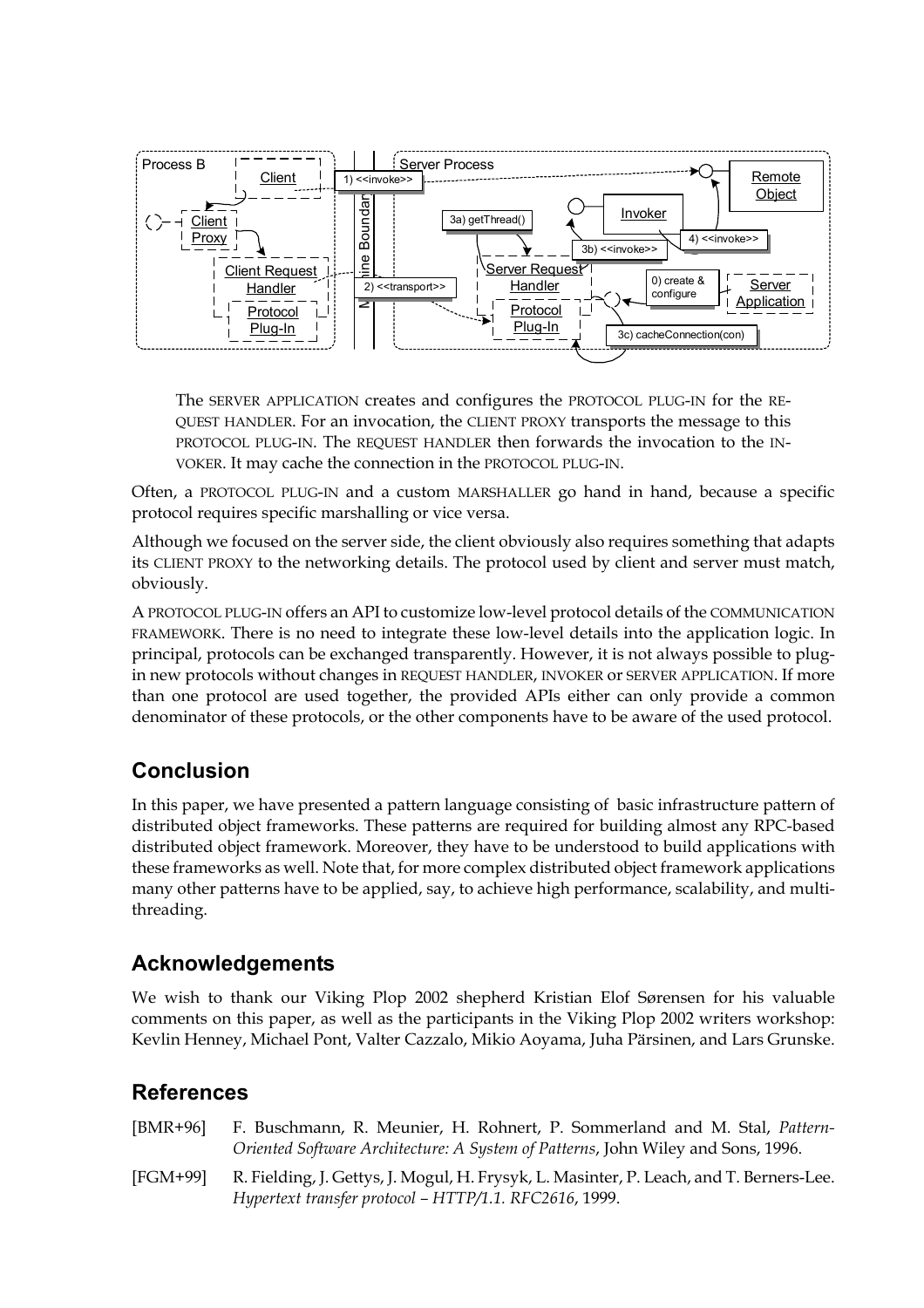

The SERVER APPLICATION creates and configures the PROTOCOL PLUG-IN for the RE-QUEST HANDLER. For an invocation, the CLIENT PROXY transports the message to this PROTOCOL PLUG-IN. The REQUEST HANDLER then forwards the invocation to the IN-VOKER. It may cache the connection in the PROTOCOL PLUG-IN.

Often, a PROTOCOL PLUG-IN and a custom MARSHALLER go hand in hand, because a specific protocol requires specific marshalling or vice versa.

Although we focused on the server side, the client obviously also requires something that adapts its CLIENT PROXY to the networking details. The protocol used by client and server must match, obviously.

A PROTOCOL PLUG-IN offers an API to customize low-level protocol details of the COMMUNICATION FRAMEWORK. There is no need to integrate these low-level details into the application logic. In principal, protocols can be exchanged transparently. However, it is not always possible to plugin new protocols without changes in REQUEST HANDLER, INVOKER or SERVER APPLICATION. If more than one protocol are used together, the provided APIs either can only provide a common denominator of these protocols, or the other components have to be aware of the used protocol.

### **Conclusion**

In this paper, we have presented a pattern language consisting of basic infrastructure pattern of distributed object frameworks. These patterns are required for building almost any RPC-based distributed object framework. Moreover, they have to be understood to build applications with these frameworks as well. Note that, for more complex distributed object framework applications many other patterns have to be applied, say, to achieve high performance, scalability, and multithreading.

#### **Acknowledgements**

We wish to thank our Viking Plop 2002 shepherd Kristian Elof Sørensen for his valuable comments on this paper, as well as the participants in the Viking Plop 2002 writers workshop: Kevlin Henney, Michael Pont, Valter Cazzalo, Mikio Aoyama, Juha Pärsinen, and Lars Grunske.

#### **References**

| [BMR+96] F. Buschmann, R. Meunier, H. Rohnert, P. Sommerland and M. Stal, Pattern- |
|------------------------------------------------------------------------------------|
| Oriented Software Architecture: A System of Patterns, John Wiley and Sons, 1996.   |

[FGM+99] R. Fielding, J. Gettys, J. Mogul, H. Frysyk, L. Masinter, P. Leach, and T. Berners-Lee. *Hypertext transfer protocol – HTTP/1.1. RFC2616*, 1999.